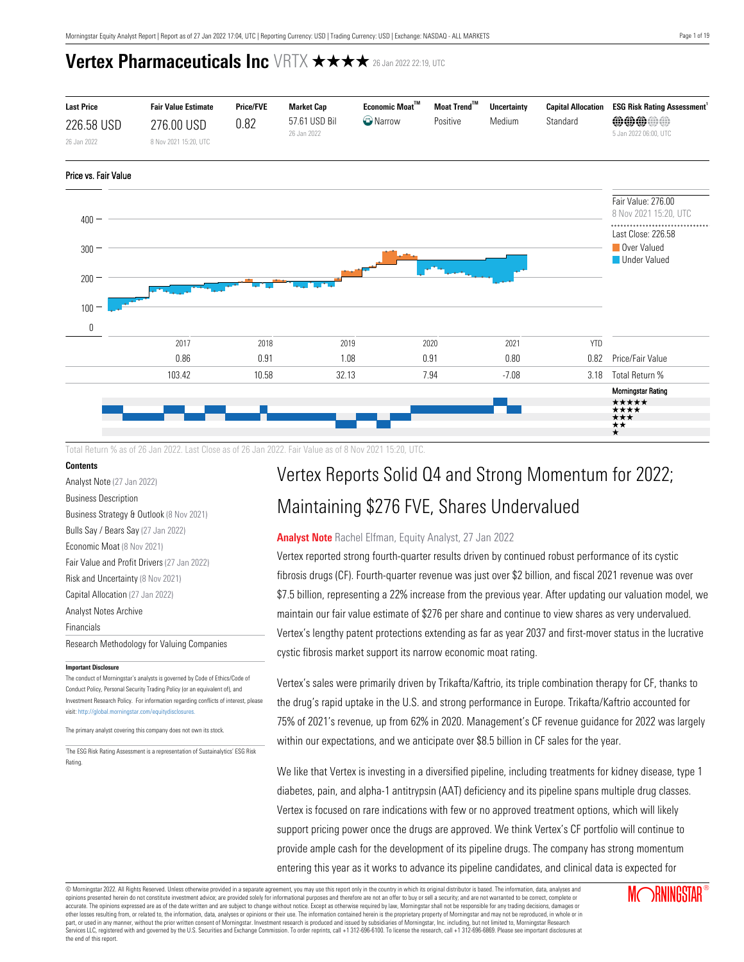

Total Return % as of 26 Jan 2022. Last Close as of 26 Jan 2022. Fair Value as of 8 Nov 2021 15:20, UTC.

### **Contents**

[Analyst Note](#page-0-0) (27 Jan 2022) [Business Description](#page-1-0) [Business Strategy & Outlook](#page-1-1) (8 Nov 2021) [Bulls Say / Bears Say](#page-1-2) (27 Jan 2022) [Economic Moat](#page-2-0) (8 Nov 2021) [Fair Value and Profit Drivers](#page-4-0) (27 Jan 2022) [Risk and Uncertainty](#page-5-0) (8 Nov 2021) [Capital Allocation](#page-6-0) (27 Jan 2022)

[Analyst Notes Archive](#page-7-0)

[Financials](#page-14-0)

[Research Methodology for Valuing Companies](#page-15-0)

#### **Important Disclosure**

The conduct of Morningstar's analysts is governed by Code of Ethics/Code of Conduct Policy, Personal Security Trading Policy (or an equivalent of), and Investment Research Policy. For information regarding conflicts of interest, please visit: http://global.morningstar.com/equitydisclosures

The primary analyst covering this company does not own its stock.

1 The ESG Risk Rating Assessment is a representation of Sustainalytics' ESG Risk Rating.

# Vertex Reports Solid Q4 and Strong Momentum for 2022; Maintaining \$276 FVE, Shares Undervalued

### <span id="page-0-0"></span>**Analyst Note** Rachel Elfman, Equity Analyst, 27 Jan 2022

Vertex reported strong fourth-quarter results driven by continued robust performance of its cystic fibrosis drugs (CF). Fourth-quarter revenue was just over \$2 billion, and fiscal 2021 revenue was over \$7.5 billion, representing a 22% increase from the previous year. After updating our valuation model, we maintain our fair value estimate of \$276 per share and continue to view shares as very undervalued. Vertex's lengthy patent protections extending as far as year 2037 and first-mover status in the lucrative cystic fibrosis market support its narrow economic moat rating.

Vertex's sales were primarily driven by Trikafta/Kaftrio, its triple combination therapy for CF, thanks to the drug's rapid uptake in the U.S. and strong performance in Europe. Trikafta/Kaftrio accounted for 75% of 2021's revenue, up from 62% in 2020. Management's CF revenue guidance for 2022 was largely within our expectations, and we anticipate over \$8.5 billion in CF sales for the year.

We like that Vertex is investing in a diversified pipeline, including treatments for kidney disease, type 1 diabetes, pain, and alpha-1 antitrypsin (AAT) deficiency and its pipeline spans multiple drug classes. Vertex is focused on rare indications with few or no approved treatment options, which will likely support pricing power once the drugs are approved. We think Vertex's CF portfolio will continue to provide ample cash for the development of its pipeline drugs. The company has strong momentum entering this year as it works to advance its pipeline candidates, and clinical data is expected for

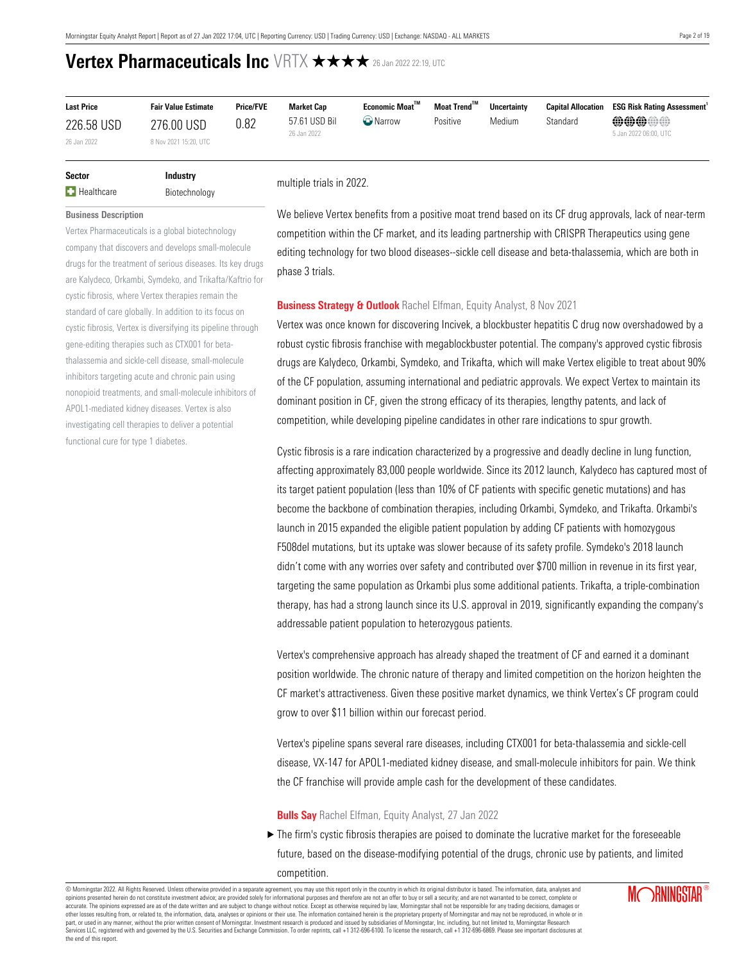| <b>Last Price</b> | <b>Fair Value Estimate</b> | <b>Price/FVE</b> | <b>Market Cap</b>            | $E$ conomic Moat $^{\text{TM}}$ | Moat Trend <sup>™</sup> | <b>Uncertainty</b> |          | <b>Capital Allocation ESG Risk Rating Assessment</b> |
|-------------------|----------------------------|------------------|------------------------------|---------------------------------|-------------------------|--------------------|----------|------------------------------------------------------|
| 226.58 USD        | 276.00 USD                 | 0.82             | 57.61 USD Bil<br>26 Jan 2022 | <b>O</b> Narrow                 | Positive                | Medium             | Standard | <b>@@@@@</b><br>5 Jan 2022 06:00, UTC                |
| 26 Jan 2022       | 8 Nov 2021 15:20, UTC      |                  |                              |                                 |                         |                    |          |                                                      |

| Sector            | <b>Industry</b> |
|-------------------|-----------------|
| <b>Healthcare</b> | Biotechnology   |

multiple trials in 2022.

<span id="page-1-0"></span>**Business Description**

Vertex Pharmaceuticals is a global biotechnology company that discovers and develops small-molecule drugs for the treatment of serious diseases. Its key drugs are Kalydeco, Orkambi, Symdeko, and Trikafta/Kaftrio for cystic fibrosis, where Vertex therapies remain the standard of care globally. In addition to its focus on cystic fibrosis, Vertex is diversifying its pipeline through gene-editing therapies such as CTX001 for betathalassemia and sickle-cell disease, small-molecule inhibitors targeting acute and chronic pain using nonopioid treatments, and small-molecule inhibitors of APOL1-mediated kidney diseases. Vertex is also investigating cell therapies to deliver a potential functional cure for type 1 diabetes.

We believe Vertex benefits from a positive moat trend based on its CF drug approvals, lack of near-term competition within the CF market, and its leading partnership with CRISPR Therapeutics using gene editing technology for two blood diseases--sickle cell disease and beta-thalassemia, which are both in phase 3 trials.

#### <span id="page-1-1"></span>**Business Strategy & Outlook** Rachel Elfman, Equity Analyst, 8 Nov 2021

Vertex was once known for discovering Incivek, a blockbuster hepatitis C drug now overshadowed by a robust cystic fibrosis franchise with megablockbuster potential. The company's approved cystic fibrosis drugs are Kalydeco, Orkambi, Symdeko, and Trikafta, which will make Vertex eligible to treat about 90% of the CF population, assuming international and pediatric approvals. We expect Vertex to maintain its dominant position in CF, given the strong efficacy of its therapies, lengthy patents, and lack of competition, while developing pipeline candidates in other rare indications to spur growth.

Cystic fibrosis is a rare indication characterized by a progressive and deadly decline in lung function, affecting approximately 83,000 people worldwide. Since its 2012 launch, Kalydeco has captured most of its target patient population (less than 10% of CF patients with specific genetic mutations) and has become the backbone of combination therapies, including Orkambi, Symdeko, and Trikafta. Orkambi's launch in 2015 expanded the eligible patient population by adding CF patients with homozygous F508del mutations, but its uptake was slower because of its safety profile. Symdeko's 2018 launch didn't come with any worries over safety and contributed over \$700 million in revenue in its first year, targeting the same population as Orkambi plus some additional patients. Trikafta, a triple-combination therapy, has had a strong launch since its U.S. approval in 2019, significantly expanding the company's addressable patient population to heterozygous patients.

Vertex's comprehensive approach has already shaped the treatment of CF and earned it a dominant position worldwide. The chronic nature of therapy and limited competition on the horizon heighten the CF market's attractiveness. Given these positive market dynamics, we think Vertex's CF program could grow to over \$11 billion within our forecast period.

Vertex's pipeline spans several rare diseases, including CTX001 for beta-thalassemia and sickle-cell disease, VX-147 for APOL1-mediated kidney disease, and small-molecule inhibitors for pain. We think the CF franchise will provide ample cash for the development of these candidates.

#### <span id="page-1-2"></span>**Bulls Say** Rachel Elfman, Equity Analyst, 27 Jan 2022

 $\blacktriangleright$  The firm's cystic fibrosis therapies are poised to dominate the lucrative market for the foreseeable future, based on the disease-modifying potential of the drugs, chronic use by patients, and limited competition.

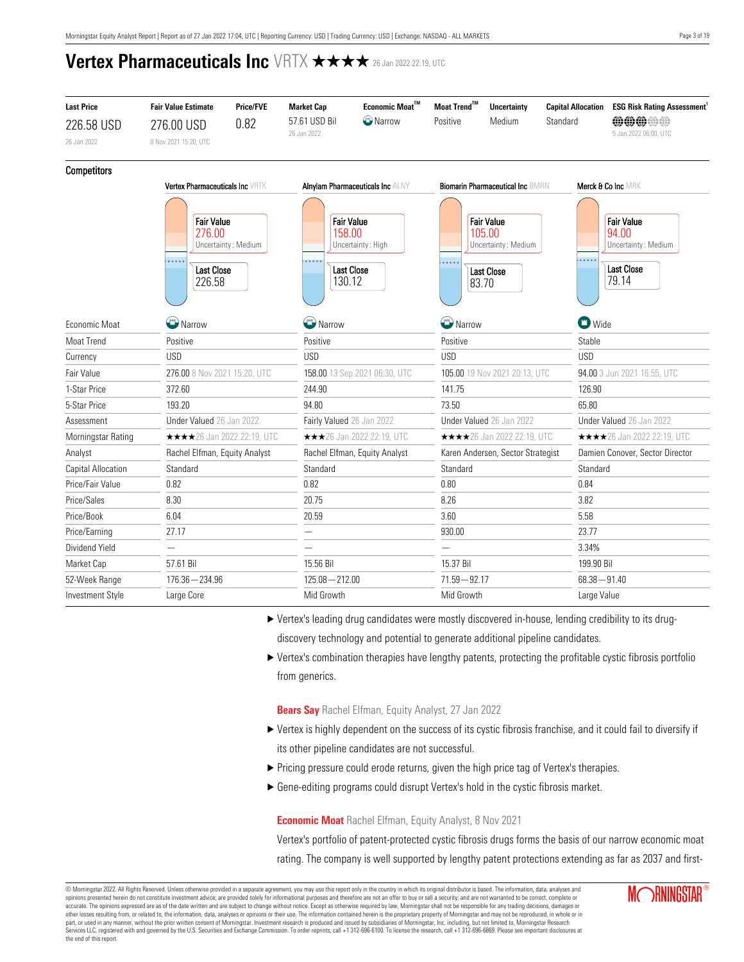| <b>Last Price</b>         | <b>Fair Value Estimate</b>             | <b>Price/FVE</b>                                              | <b>Market Cap</b>            | Economic Moat™                                                                      | Moat Trend™                   | <b>Uncertainty</b>                                                               | <b>Capital Allocation</b> | <b>ESG Risk Rating Assessment</b>                                               |  |
|---------------------------|----------------------------------------|---------------------------------------------------------------|------------------------------|-------------------------------------------------------------------------------------|-------------------------------|----------------------------------------------------------------------------------|---------------------------|---------------------------------------------------------------------------------|--|
| 226.58 USD                | 276.00 USD                             | 0.82                                                          | 57.61 USD Bil<br>26 Jan 2022 | <b>C</b> Narrow                                                                     | Positive                      | Medium                                                                           | Standard                  | <b>@@@@@</b>                                                                    |  |
| 26 Jan 2022               | 8 Nov 2021 15:20, UTC                  |                                                               |                              |                                                                                     |                               |                                                                                  |                           | 5 Jan 2022 06:00, UTC                                                           |  |
| <b>Competitors</b>        |                                        |                                                               |                              |                                                                                     |                               |                                                                                  |                           |                                                                                 |  |
|                           | <b>Vertex Pharmaceuticals Inc VRTX</b> |                                                               |                              | <b>Alnylam Pharmaceuticals Inc ALNY</b>                                             |                               | <b>Biomarin Pharmaceutical Inc BMBN</b>                                          |                           | Merck & Co Inc MRK                                                              |  |
|                           | 276.00<br>226.58                       | <b>Fair Value</b><br>Uncertainty: Medium<br><b>Last Close</b> |                              | <b>Fair Value</b><br>158.00<br>Uncertainty: High<br><br><b>Last Close</b><br>130.12 |                               | <b>Fair Value</b><br>105.00<br>Uncertainty: Medium<br><b>Last Close</b><br>83.70 |                           | <b>Fair Value</b><br>94.00<br>Uncertainty: Medium<br><b>Last Close</b><br>79.14 |  |
| Economic Moat             | W Narrow                               |                                                               | Narrow                       |                                                                                     | Narrow                        |                                                                                  | <b>D</b> Wide             |                                                                                 |  |
| Moat Trend                | Positive                               |                                                               | Positive                     |                                                                                     | Positive                      |                                                                                  | Stable                    |                                                                                 |  |
| Currency                  | <b>USD</b>                             |                                                               | <b>USD</b>                   |                                                                                     | <b>USD</b>                    |                                                                                  | <b>USD</b>                |                                                                                 |  |
| Fair Value                | 276.00 8 Nov 2021 15:20, UTC           |                                                               |                              | 158.00 13 Sep 2021 06:30, UTC                                                       | 105.00 19 Nov 2021 20:13, UTC |                                                                                  |                           | 94.00 3 Jun 2021 16:55, UTC                                                     |  |
| 1-Star Price              | 372.60                                 |                                                               | 244.90                       |                                                                                     | 141.75                        |                                                                                  | 126.90                    |                                                                                 |  |
| 5-Star Price              | 193.20                                 |                                                               | 94.80                        |                                                                                     | 73.50                         |                                                                                  | 65.80                     |                                                                                 |  |
| Assessment                | Under Valued 26 Jan 2022               |                                                               | Fairly Valued 26 Jan 2022    |                                                                                     | Under Valued 26 Jan 2022      |                                                                                  |                           | Under Valued 26 Jan 2022                                                        |  |
| Morningstar Rating        | <b>★★★★</b> 26 Jan 2022 22:19, UTC     |                                                               |                              | ★★★26 Jan 2022 22:19, UTC                                                           |                               | <b>★★★★</b> 26 Jan 2022 22:19, UTC                                               |                           | <b>★★★★</b> 26 Jan 2022 22:19, UTC                                              |  |
| Analyst                   | Rachel Elfman, Equity Analyst          |                                                               |                              | Rachel Elfman, Equity Analyst                                                       |                               | Karen Andersen, Sector Strategist                                                |                           | Damien Conover, Sector Director                                                 |  |
| <b>Capital Allocation</b> | Standard                               |                                                               | Standard                     |                                                                                     | Standard                      |                                                                                  | Standard                  |                                                                                 |  |
| Price/Fair Value          | 0.82                                   |                                                               | 0.82                         |                                                                                     | 0.80                          |                                                                                  | 0.84                      |                                                                                 |  |
| Price/Sales               | 8.30                                   |                                                               | 20.75                        |                                                                                     | 8.26                          |                                                                                  | 3.82                      |                                                                                 |  |
| Price/Book                | 6.04                                   |                                                               | 20.59                        |                                                                                     |                               |                                                                                  | 5.58                      |                                                                                 |  |
| Price/Earning             | 27.17                                  |                                                               |                              |                                                                                     |                               | 930.00                                                                           |                           |                                                                                 |  |
| Dividend Yield            | $\overline{\phantom{0}}$               |                                                               |                              |                                                                                     |                               |                                                                                  | 3.34%                     |                                                                                 |  |
| Market Cap                | 57.61 Bil                              |                                                               | 15.56 Bil                    |                                                                                     | 15.37 Bil                     |                                                                                  | 199.90 Bil                |                                                                                 |  |
| 52-Week Range             | $176.36 - 234.96$                      |                                                               | $125.08 - 212.00$            |                                                                                     | $71.59 - 92.17$               |                                                                                  | $68.38 - 91.40$           |                                                                                 |  |
| <b>Investment Style</b>   | Large Core                             |                                                               | Mid Growth                   |                                                                                     |                               | Mid Growth                                                                       |                           | Large Value                                                                     |  |

- u Vertex's leading drug candidates were mostly discovered in-house, lending credibility to its drugdiscovery technology and potential to generate additional pipeline candidates.
- $\blacktriangleright$  Vertex's combination therapies have lengthy patents, protecting the profitable cystic fibrosis portfolio from generics.

**Bears Say** Rachel Elfman, Equity Analyst, 27 Jan 2022

- u Vertex is highly dependent on the success of its cystic fibrosis franchise, and it could fail to diversify if its other pipeline candidates are not successful.
- Pricing pressure could erode returns, given the high price tag of Vertex's therapies.
- u Gene-editing programs could disrupt Vertex's hold in the cystic fibrosis market.

### <span id="page-2-0"></span>**Economic Moat** Rachel Elfman, Equity Analyst, 8 Nov 2021

Vertex's portfolio of patent-protected cystic fibrosis drugs forms the basis of our narrow economic moat rating. The company is well supported by lengthy patent protections extending as far as 2037 and first-

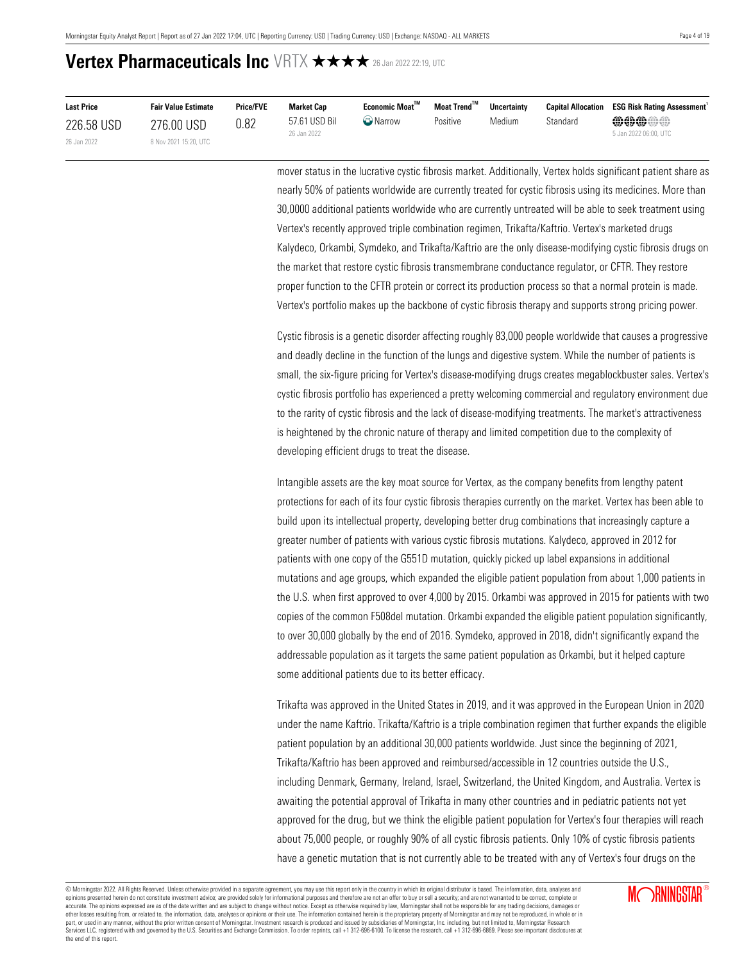| <b>Last Price</b> | <b>Fair Value Estimate</b> | <b>Price/FVE</b> | <b>Market Cap</b>            | Economic Moat™  | Moat Trend™ | <b>Uncertainty</b> | <b>Capital Allocation</b> | <b>ESG Risk Rating Assessment</b>     |
|-------------------|----------------------------|------------------|------------------------------|-----------------|-------------|--------------------|---------------------------|---------------------------------------|
| 226.58 USD        | 276.00 USD                 | 0.82             | 57.61 USD Bil<br>26 Jan 2022 | <b>C</b> Narrow | Positive    | Medium             | Standard                  | <b>@@@@#</b><br>5 Jan 2022 06:00, UTC |
| 26 Jan 2022       | 8 Nov 2021 15:20, UTC      |                  |                              |                 |             |                    |                           |                                       |

mover status in the lucrative cystic fibrosis market. Additionally, Vertex holds significant patient share as nearly 50% of patients worldwide are currently treated for cystic fibrosis using its medicines. More than 30,0000 additional patients worldwide who are currently untreated will be able to seek treatment using Vertex's recently approved triple combination regimen, Trikafta/Kaftrio. Vertex's marketed drugs Kalydeco, Orkambi, Symdeko, and Trikafta/Kaftrio are the only disease-modifying cystic fibrosis drugs on the market that restore cystic fibrosis transmembrane conductance regulator, or CFTR. They restore proper function to the CFTR protein or correct its production process so that a normal protein is made. Vertex's portfolio makes up the backbone of cystic fibrosis therapy and supports strong pricing power.

Cystic fibrosis is a genetic disorder affecting roughly 83,000 people worldwide that causes a progressive and deadly decline in the function of the lungs and digestive system. While the number of patients is small, the six-figure pricing for Vertex's disease-modifying drugs creates megablockbuster sales. Vertex's cystic fibrosis portfolio has experienced a pretty welcoming commercial and regulatory environment due to the rarity of cystic fibrosis and the lack of disease-modifying treatments. The market's attractiveness is heightened by the chronic nature of therapy and limited competition due to the complexity of developing efficient drugs to treat the disease.

Intangible assets are the key moat source for Vertex, as the company benefits from lengthy patent protections for each of its four cystic fibrosis therapies currently on the market. Vertex has been able to build upon its intellectual property, developing better drug combinations that increasingly capture a greater number of patients with various cystic fibrosis mutations. Kalydeco, approved in 2012 for patients with one copy of the G551D mutation, quickly picked up label expansions in additional mutations and age groups, which expanded the eligible patient population from about 1,000 patients in the U.S. when first approved to over 4,000 by 2015. Orkambi was approved in 2015 for patients with two copies of the common F508del mutation. Orkambi expanded the eligible patient population significantly, to over 30,000 globally by the end of 2016. Symdeko, approved in 2018, didn't significantly expand the addressable population as it targets the same patient population as Orkambi, but it helped capture some additional patients due to its better efficacy.

Trikafta was approved in the United States in 2019, and it was approved in the European Union in 2020 under the name Kaftrio. Trikafta/Kaftrio is a triple combination regimen that further expands the eligible patient population by an additional 30,000 patients worldwide. Just since the beginning of 2021, Trikafta/Kaftrio has been approved and reimbursed/accessible in 12 countries outside the U.S., including Denmark, Germany, Ireland, Israel, Switzerland, the United Kingdom, and Australia. Vertex is awaiting the potential approval of Trikafta in many other countries and in pediatric patients not yet approved for the drug, but we think the eligible patient population for Vertex's four therapies will reach about 75,000 people, or roughly 90% of all cystic fibrosis patients. Only 10% of cystic fibrosis patients have a genetic mutation that is not currently able to be treated with any of Vertex's four drugs on the

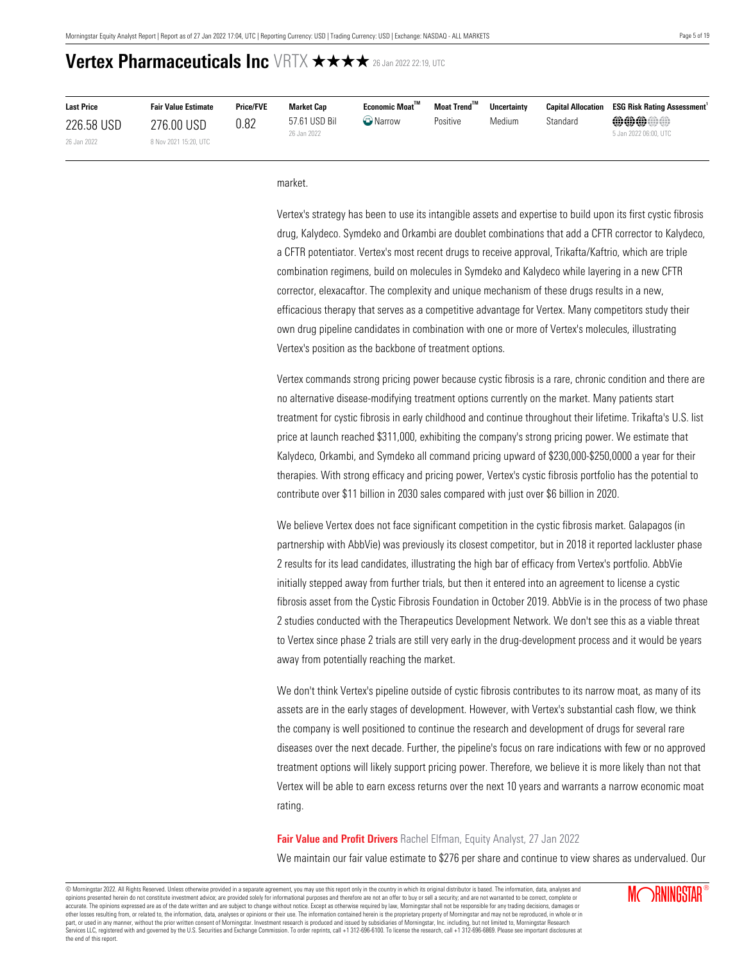| <b>Last Price</b> | <b>Fair Value Estimate</b> | <b>Price/FVE</b> | Market Cap                   | Economic Moat <sup>™</sup> | Moat Trend <sup>™</sup> | <b>Uncertainty</b> |          | <b>Capital Allocation ESG Risk Rating Assessment</b> |
|-------------------|----------------------------|------------------|------------------------------|----------------------------|-------------------------|--------------------|----------|------------------------------------------------------|
| 226.58 USD        | 276.00 USD                 | 0.82             | 57.61 USD Bil<br>26 Jan 2022 | <b>O</b> Narrow            | Positive                | Medium             | Standard | <b>@@@@#</b><br>5 Jan 2022 06:00, UTC                |
| 26 Jan 2022       | 8 Nov 2021 15:20, UTC      |                  |                              |                            |                         |                    |          |                                                      |

market.

Vertex's strategy has been to use its intangible assets and expertise to build upon its first cystic fibrosis drug, Kalydeco. Symdeko and Orkambi are doublet combinations that add a CFTR corrector to Kalydeco, a CFTR potentiator. Vertex's most recent drugs to receive approval, Trikafta/Kaftrio, which are triple combination regimens, build on molecules in Symdeko and Kalydeco while layering in a new CFTR corrector, elexacaftor. The complexity and unique mechanism of these drugs results in a new, efficacious therapy that serves as a competitive advantage for Vertex. Many competitors study their own drug pipeline candidates in combination with one or more of Vertex's molecules, illustrating Vertex's position as the backbone of treatment options.

Vertex commands strong pricing power because cystic fibrosis is a rare, chronic condition and there are no alternative disease-modifying treatment options currently on the market. Many patients start treatment for cystic fibrosis in early childhood and continue throughout their lifetime. Trikafta's U.S. list price at launch reached \$311,000, exhibiting the company's strong pricing power. We estimate that Kalydeco, Orkambi, and Symdeko all command pricing upward of \$230,000-\$250,0000 a year for their therapies. With strong efficacy and pricing power, Vertex's cystic fibrosis portfolio has the potential to contribute over \$11 billion in 2030 sales compared with just over \$6 billion in 2020.

We believe Vertex does not face significant competition in the cystic fibrosis market. Galapagos (in partnership with AbbVie) was previously its closest competitor, but in 2018 it reported lackluster phase 2 results for its lead candidates, illustrating the high bar of efficacy from Vertex's portfolio. AbbVie initially stepped away from further trials, but then it entered into an agreement to license a cystic fibrosis asset from the Cystic Fibrosis Foundation in October 2019. AbbVie is in the process of two phase 2 studies conducted with the Therapeutics Development Network. We don't see this as a viable threat to Vertex since phase 2 trials are still very early in the drug-development process and it would be years away from potentially reaching the market.

We don't think Vertex's pipeline outside of cystic fibrosis contributes to its narrow moat, as many of its assets are in the early stages of development. However, with Vertex's substantial cash flow, we think the company is well positioned to continue the research and development of drugs for several rare diseases over the next decade. Further, the pipeline's focus on rare indications with few or no approved treatment options will likely support pricing power. Therefore, we believe it is more likely than not that Vertex will be able to earn excess returns over the next 10 years and warrants a narrow economic moat rating.

### <span id="page-4-0"></span>**Fair Value and Profit Drivers** Rachel Elfman, Equity Analyst, 27 Jan 2022

We maintain our fair value estimate to \$276 per share and continue to view shares as undervalued. Our

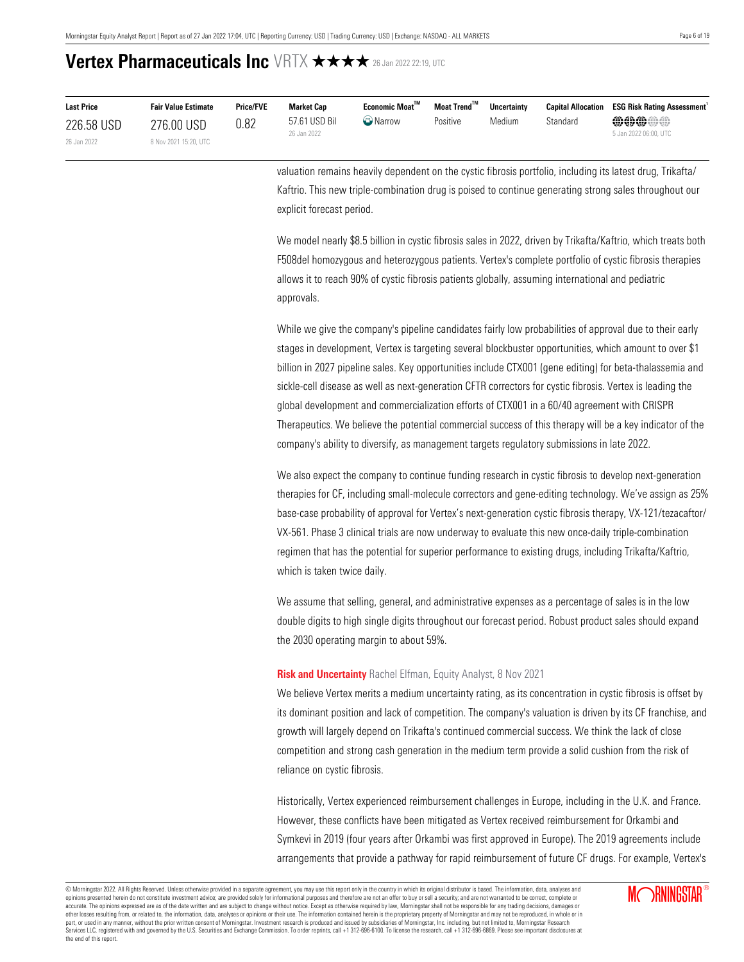| <b>Last Price</b> | <b>Fair Value Estimate</b> | <b>Price/FVE</b> | Market Cap                   | Economic Moat <sup>™</sup> | Moat Trend™ | <b>Uncertainty</b> |          | <b>Capital Allocation ESG Risk Rating Assessment</b> |
|-------------------|----------------------------|------------------|------------------------------|----------------------------|-------------|--------------------|----------|------------------------------------------------------|
| 226.58 USD        | 276.00 USD                 | 0.82             | 57.61 USD Bil<br>26 Jan 2022 | <b>O</b> Narrow            | Positive    | Medium             | Standard | <b>@@@@#</b><br>5 Jan 2022 06:00, UTC                |
| 26 Jan 2022       | 8 Nov 2021 15:20, UTC      |                  |                              |                            |             |                    |          |                                                      |

valuation remains heavily dependent on the cystic fibrosis portfolio, including its latest drug, Trikafta/ Kaftrio. This new triple-combination drug is poised to continue generating strong sales throughout our explicit forecast period.

We model nearly \$8.5 billion in cystic fibrosis sales in 2022, driven by Trikafta/Kaftrio, which treats both F508del homozygous and heterozygous patients. Vertex's complete portfolio of cystic fibrosis therapies allows it to reach 90% of cystic fibrosis patients globally, assuming international and pediatric approvals.

While we give the company's pipeline candidates fairly low probabilities of approval due to their early stages in development, Vertex is targeting several blockbuster opportunities, which amount to over \$1 billion in 2027 pipeline sales. Key opportunities include CTX001 (gene editing) for beta-thalassemia and sickle-cell disease as well as next-generation CFTR correctors for cystic fibrosis. Vertex is leading the global development and commercialization efforts of CTX001 in a 60/40 agreement with CRISPR Therapeutics. We believe the potential commercial success of this therapy will be a key indicator of the company's ability to diversify, as management targets regulatory submissions in late 2022.

We also expect the company to continue funding research in cystic fibrosis to develop next-generation therapies for CF, including small-molecule correctors and gene-editing technology. We've assign as 25% base-case probability of approval for Vertex's next-generation cystic fibrosis therapy, VX-121/tezacaftor/ VX-561. Phase 3 clinical trials are now underway to evaluate this new once-daily triple-combination regimen that has the potential for superior performance to existing drugs, including Trikafta/Kaftrio, which is taken twice daily.

We assume that selling, general, and administrative expenses as a percentage of sales is in the low double digits to high single digits throughout our forecast period. Robust product sales should expand the 2030 operating margin to about 59%.

#### <span id="page-5-0"></span>**Risk and Uncertainty** Rachel Elfman, Equity Analyst, 8 Nov 2021

We believe Vertex merits a medium uncertainty rating, as its concentration in cystic fibrosis is offset by its dominant position and lack of competition. The company's valuation is driven by its CF franchise, and growth will largely depend on Trikafta's continued commercial success. We think the lack of close competition and strong cash generation in the medium term provide a solid cushion from the risk of reliance on cystic fibrosis.

Historically, Vertex experienced reimbursement challenges in Europe, including in the U.K. and France. However, these conflicts have been mitigated as Vertex received reimbursement for Orkambi and Symkevi in 2019 (four years after Orkambi was first approved in Europe). The 2019 agreements include arrangements that provide a pathway for rapid reimbursement of future CF drugs. For example, Vertex's

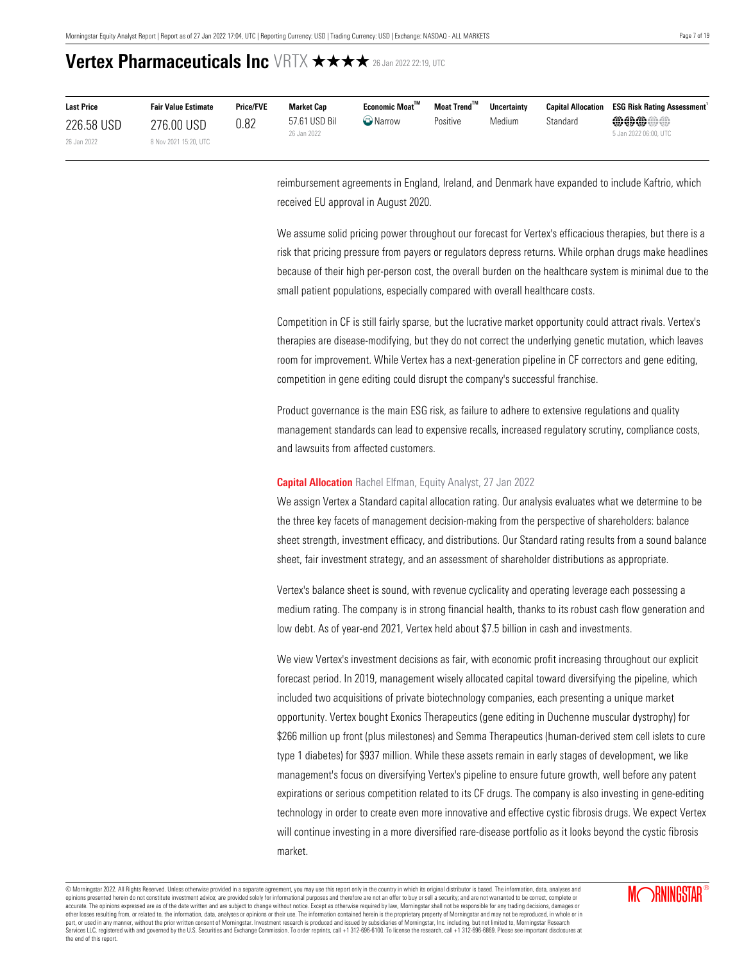| <b>Last Price</b> | <b>Fair Value Estimate</b> | <b>Price/FVE</b> | Market Cap                   | Economic Moat <sup>™</sup> | Moat Trend <sup>™</sup> | <b>Uncertainty</b> |          | <b>Capital Allocation ESG Risk Rating Assessment</b> |
|-------------------|----------------------------|------------------|------------------------------|----------------------------|-------------------------|--------------------|----------|------------------------------------------------------|
| 226.58 USD        | 276.00 USD                 | 0.82             | 57.61 USD Bil<br>26 Jan 2022 | <b>Narrow</b>              | Positive                | Medium             | Standard | <b>@@@@@</b><br>5 Jan 2022 06:00, UTC                |
| 26 Jan 2022       | 8 Nov 2021 15:20, UTC      |                  |                              |                            |                         |                    |          |                                                      |

reimbursement agreements in England, Ireland, and Denmark have expanded to include Kaftrio, which received EU approval in August 2020.

We assume solid pricing power throughout our forecast for Vertex's efficacious therapies, but there is a risk that pricing pressure from payers or regulators depress returns. While orphan drugs make headlines because of their high per-person cost, the overall burden on the healthcare system is minimal due to the small patient populations, especially compared with overall healthcare costs.

Competition in CF is still fairly sparse, but the lucrative market opportunity could attract rivals. Vertex's therapies are disease-modifying, but they do not correct the underlying genetic mutation, which leaves room for improvement. While Vertex has a next-generation pipeline in CF correctors and gene editing, competition in gene editing could disrupt the company's successful franchise.

Product governance is the main ESG risk, as failure to adhere to extensive regulations and quality management standards can lead to expensive recalls, increased regulatory scrutiny, compliance costs, and lawsuits from affected customers.

#### <span id="page-6-0"></span>**Capital Allocation** Rachel Elfman, Equity Analyst, 27 Jan 2022

We assign Vertex a Standard capital allocation rating. Our analysis evaluates what we determine to be the three key facets of management decision-making from the perspective of shareholders: balance sheet strength, investment efficacy, and distributions. Our Standard rating results from a sound balance sheet, fair investment strategy, and an assessment of shareholder distributions as appropriate.

Vertex's balance sheet is sound, with revenue cyclicality and operating leverage each possessing a medium rating. The company is in strong financial health, thanks to its robust cash flow generation and low debt. As of year-end 2021, Vertex held about \$7.5 billion in cash and investments.

We view Vertex's investment decisions as fair, with economic profit increasing throughout our explicit forecast period. In 2019, management wisely allocated capital toward diversifying the pipeline, which included two acquisitions of private biotechnology companies, each presenting a unique market opportunity. Vertex bought Exonics Therapeutics (gene editing in Duchenne muscular dystrophy) for \$266 million up front (plus milestones) and Semma Therapeutics (human-derived stem cell islets to cure type 1 diabetes) for \$937 million. While these assets remain in early stages of development, we like management's focus on diversifying Vertex's pipeline to ensure future growth, well before any patent expirations or serious competition related to its CF drugs. The company is also investing in gene-editing technology in order to create even more innovative and effective cystic fibrosis drugs. We expect Vertex will continue investing in a more diversified rare-disease portfolio as it looks beyond the cystic fibrosis market.

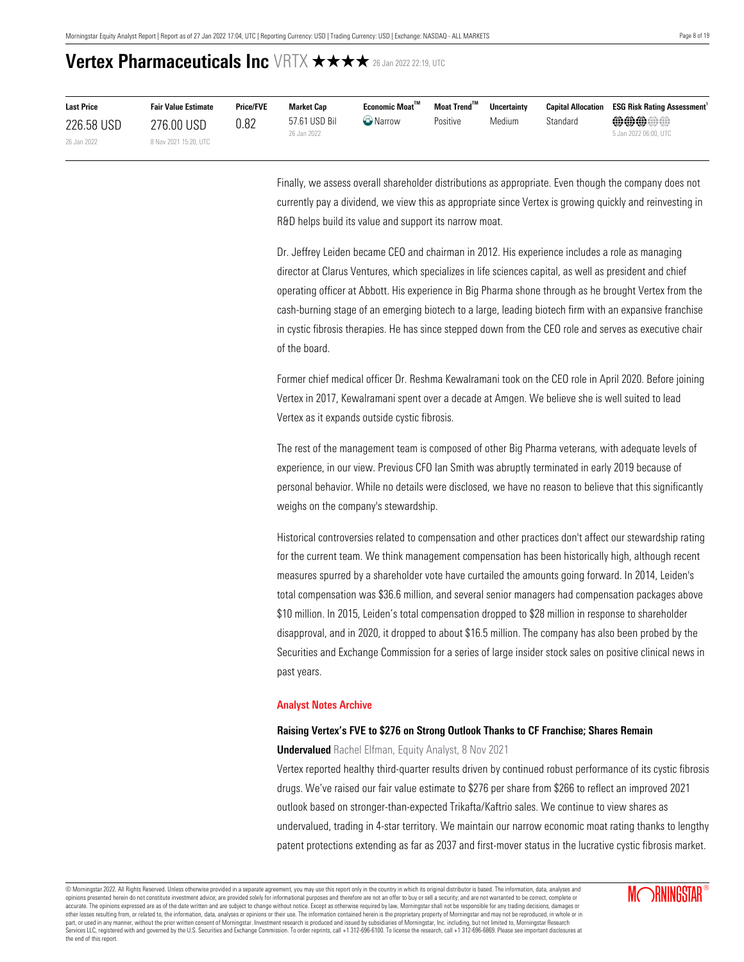| <b>Last Price</b> | <b>Fair Value Estimate</b> | <b>Price/FVE</b> | <b>Market Cap</b>            | Economic Moat™    | Moat Trend™ | <b>Uncertainty</b> | <b>Capital Allocation</b> | <b>ESG Risk Rating Assessment</b>     |
|-------------------|----------------------------|------------------|------------------------------|-------------------|-------------|--------------------|---------------------------|---------------------------------------|
| 226.58 USD        | 276.00 USD                 | 0.82             | 57.61 USD Bil<br>26 Jan 2022 | $\bigcirc$ Narrow | Positive    | Medium             | Standard                  | <b>@@@@@</b><br>5 Jan 2022 06:00, UTC |
| 26 Jan 2022       | 8 Nov 2021 15:20, UTC      |                  |                              |                   |             |                    |                           |                                       |

Finally, we assess overall shareholder distributions as appropriate. Even though the company does not currently pay a dividend, we view this as appropriate since Vertex is growing quickly and reinvesting in R&D helps build its value and support its narrow moat.

Dr. Jeffrey Leiden became CEO and chairman in 2012. His experience includes a role as managing director at Clarus Ventures, which specializes in life sciences capital, as well as president and chief operating officer at Abbott. His experience in Big Pharma shone through as he brought Vertex from the cash-burning stage of an emerging biotech to a large, leading biotech firm with an expansive franchise in cystic fibrosis therapies. He has since stepped down from the CEO role and serves as executive chair of the board.

Former chief medical officer Dr. Reshma Kewalramani took on the CEO role in April 2020. Before joining Vertex in 2017, Kewalramani spent over a decade at Amgen. We believe she is well suited to lead Vertex as it expands outside cystic fibrosis.

The rest of the management team is composed of other Big Pharma veterans, with adequate levels of experience, in our view. Previous CFO Ian Smith was abruptly terminated in early 2019 because of personal behavior. While no details were disclosed, we have no reason to believe that this significantly weighs on the company's stewardship.

Historical controversies related to compensation and other practices don't affect our stewardship rating for the current team. We think management compensation has been historically high, although recent measures spurred by a shareholder vote have curtailed the amounts going forward. In 2014, Leiden's total compensation was \$36.6 million, and several senior managers had compensation packages above \$10 million. In 2015, Leiden's total compensation dropped to \$28 million in response to shareholder disapproval, and in 2020, it dropped to about \$16.5 million. The company has also been probed by the Securities and Exchange Commission for a series of large insider stock sales on positive clinical news in past years.

#### <span id="page-7-0"></span>**Analyst Notes Archive**

### **Raising Vertex's FVE to \$276 on Strong Outlook Thanks to CF Franchise; Shares Remain**

**Undervalued** Rachel Elfman, Equity Analyst, 8 Nov 2021

Vertex reported healthy third-quarter results driven by continued robust performance of its cystic fibrosis drugs. We've raised our fair value estimate to \$276 per share from \$266 to reflect an improved 2021 outlook based on stronger-than-expected Trikafta/Kaftrio sales. We continue to view shares as undervalued, trading in 4-star territory. We maintain our narrow economic moat rating thanks to lengthy patent protections extending as far as 2037 and first-mover status in the lucrative cystic fibrosis market.

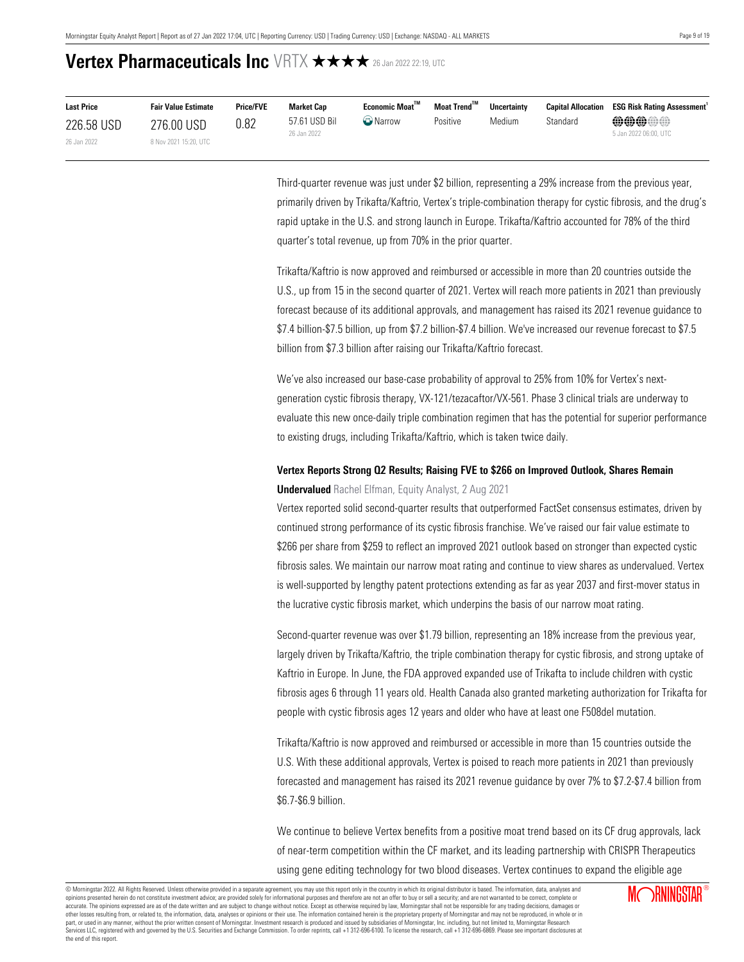| <b>Last Price</b> | <b>Fair Value Estimate</b> | <b>Price/FVE</b> | Market Cap                   | Economic Moat <sup>™</sup> | Moat Trend™ | <b>Uncertainty</b> |          | <b>Capital Allocation ESG Risk Rating Assessment</b> |
|-------------------|----------------------------|------------------|------------------------------|----------------------------|-------------|--------------------|----------|------------------------------------------------------|
| 226.58 USD        | 276.00 USD                 | 0.82             | 57.61 USD Bil<br>26 Jan 2022 | <b>W</b> Narrow            | Positive    | Medium             | Standard | <b>@@@@@</b><br>5 Jan 2022 06:00, UTC                |
| 26 Jan 2022       | 8 Nov 2021 15:20, UTC      |                  |                              |                            |             |                    |          |                                                      |

Third-quarter revenue was just under \$2 billion, representing a 29% increase from the previous year, primarily driven by Trikafta/Kaftrio, Vertex's triple-combination therapy for cystic fibrosis, and the drug's rapid uptake in the U.S. and strong launch in Europe. Trikafta/Kaftrio accounted for 78% of the third quarter's total revenue, up from 70% in the prior quarter.

Trikafta/Kaftrio is now approved and reimbursed or accessible in more than 20 countries outside the U.S., up from 15 in the second quarter of 2021. Vertex will reach more patients in 2021 than previously forecast because of its additional approvals, and management has raised its 2021 revenue guidance to \$7.4 billion-\$7.5 billion, up from \$7.2 billion-\$7.4 billion. We've increased our revenue forecast to \$7.5 billion from \$7.3 billion after raising our Trikafta/Kaftrio forecast.

We've also increased our base-case probability of approval to 25% from 10% for Vertex's nextgeneration cystic fibrosis therapy, VX-121/tezacaftor/VX-561. Phase 3 clinical trials are underway to evaluate this new once-daily triple combination regimen that has the potential for superior performance to existing drugs, including Trikafta/Kaftrio, which is taken twice daily.

### **Vertex Reports Strong Q2 Results; Raising FVE to \$266 on Improved Outlook, Shares Remain Undervalued** Rachel Elfman, Equity Analyst, 2 Aug 2021

Vertex reported solid second-quarter results that outperformed FactSet consensus estimates, driven by continued strong performance of its cystic fibrosis franchise. We've raised our fair value estimate to \$266 per share from \$259 to reflect an improved 2021 outlook based on stronger than expected cystic fibrosis sales. We maintain our narrow moat rating and continue to view shares as undervalued. Vertex is well-supported by lengthy patent protections extending as far as year 2037 and first-mover status in the lucrative cystic fibrosis market, which underpins the basis of our narrow moat rating.

Second-quarter revenue was over \$1.79 billion, representing an 18% increase from the previous year, largely driven by Trikafta/Kaftrio, the triple combination therapy for cystic fibrosis, and strong uptake of Kaftrio in Europe. In June, the FDA approved expanded use of Trikafta to include children with cystic fibrosis ages 6 through 11 years old. Health Canada also granted marketing authorization for Trikafta for people with cystic fibrosis ages 12 years and older who have at least one F508del mutation.

Trikafta/Kaftrio is now approved and reimbursed or accessible in more than 15 countries outside the U.S. With these additional approvals, Vertex is poised to reach more patients in 2021 than previously forecasted and management has raised its 2021 revenue guidance by over 7% to \$7.2-\$7.4 billion from \$6.7-\$6.9 billion.

We continue to believe Vertex benefits from a positive moat trend based on its CF drug approvals, lack of near-term competition within the CF market, and its leading partnership with CRISPR Therapeutics using gene editing technology for two blood diseases. Vertex continues to expand the eligible age

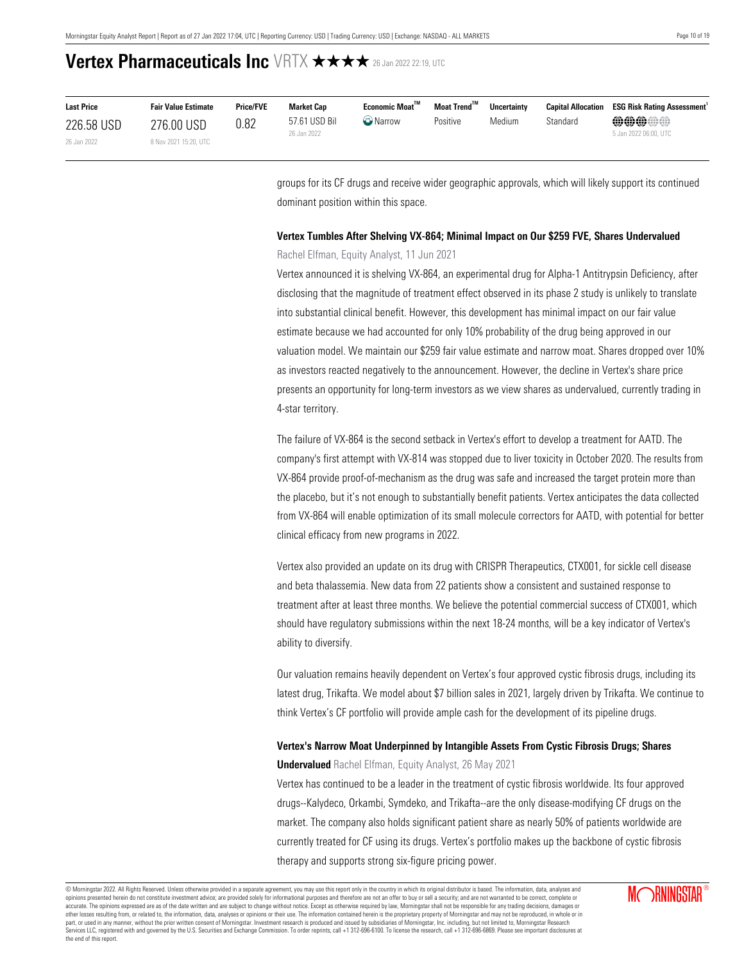| <b>Last Price</b> | <b>Fair Value Estimate</b> | <b>Price/FVE</b> | <b>Market Cap</b>            | Economic Moat <sup>™</sup> | Moat Trend™ | <b>Uncertainty</b> | <b>Capital Allocation</b> | <b>ESG Risk Rating Assessment</b>     |
|-------------------|----------------------------|------------------|------------------------------|----------------------------|-------------|--------------------|---------------------------|---------------------------------------|
| 226.58 USD        | 276.00 USD                 | 0.82             | 57.61 USD Bil<br>26 Jan 2022 | <b>W</b> Narrow            | Positive    | Medium             | Standard                  | <b>@@@@#</b><br>5 Jan 2022 06:00, UTC |
| 26 Jan 2022       | 8 Nov 2021 15:20, UTC      |                  |                              |                            |             |                    |                           |                                       |

groups for its CF drugs and receive wider geographic approvals, which will likely support its continued dominant position within this space.

### **Vertex Tumbles After Shelving VX-864; Minimal Impact on Our \$259 FVE, Shares Undervalued**

Rachel Elfman, Equity Analyst, 11 Jun 2021

Vertex announced it is shelving VX-864, an experimental drug for Alpha-1 Antitrypsin Deficiency, after disclosing that the magnitude of treatment effect observed in its phase 2 study is unlikely to translate into substantial clinical benefit. However, this development has minimal impact on our fair value estimate because we had accounted for only 10% probability of the drug being approved in our valuation model. We maintain our \$259 fair value estimate and narrow moat. Shares dropped over 10% as investors reacted negatively to the announcement. However, the decline in Vertex's share price presents an opportunity for long-term investors as we view shares as undervalued, currently trading in 4-star territory.

The failure of VX-864 is the second setback in Vertex's effort to develop a treatment for AATD. The company's first attempt with VX-814 was stopped due to liver toxicity in October 2020. The results from VX-864 provide proof-of-mechanism as the drug was safe and increased the target protein more than the placebo, but it's not enough to substantially benefit patients. Vertex anticipates the data collected from VX-864 will enable optimization of its small molecule correctors for AATD, with potential for better clinical efficacy from new programs in 2022.

Vertex also provided an update on its drug with CRISPR Therapeutics, CTX001, for sickle cell disease and beta thalassemia. New data from 22 patients show a consistent and sustained response to treatment after at least three months. We believe the potential commercial success of CTX001, which should have regulatory submissions within the next 18-24 months, will be a key indicator of Vertex's ability to diversify.

Our valuation remains heavily dependent on Vertex's four approved cystic fibrosis drugs, including its latest drug, Trikafta. We model about \$7 billion sales in 2021, largely driven by Trikafta. We continue to think Vertex's CF portfolio will provide ample cash for the development of its pipeline drugs.

### **Vertex's Narrow Moat Underpinned by Intangible Assets From Cystic Fibrosis Drugs; Shares Undervalued** Rachel Elfman, Equity Analyst, 26 May 2021

Vertex has continued to be a leader in the treatment of cystic fibrosis worldwide. Its four approved drugs--Kalydeco, Orkambi, Symdeko, and Trikafta--are the only disease-modifying CF drugs on the market. The company also holds significant patient share as nearly 50% of patients worldwide are currently treated for CF using its drugs. Vertex's portfolio makes up the backbone of cystic fibrosis therapy and supports strong six-figure pricing power.

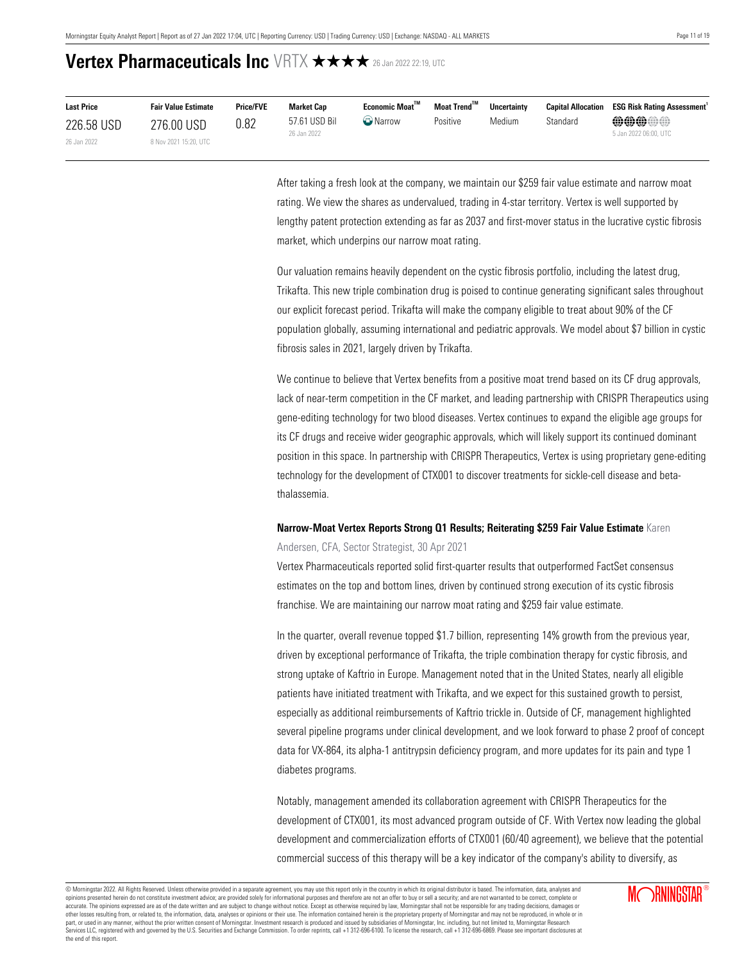| <b>Last Price</b> | <b>Fair Value Estimate</b> | <b>Price/FVE</b> | <b>Market Cap</b>            | <b>Economic Moat"</b> | Moat Trend™ | <b>Uncertainty</b> | <b>Capital Allocation</b> | <b>ESG Risk Rating Assessment</b>     |
|-------------------|----------------------------|------------------|------------------------------|-----------------------|-------------|--------------------|---------------------------|---------------------------------------|
| 226.58 USD        | 276.00 USD                 | 0.82             | 57.61 USD Bil<br>26 Jan 2022 | <b>O</b> Narrow       | Positive    | Medium             | Standard                  | <b>@@@@@</b><br>5 Jan 2022 06:00, UTC |
| 26 Jan 2022       | 8 Nov 2021 15:20, UTC      |                  |                              |                       |             |                    |                           |                                       |

After taking a fresh look at the company, we maintain our \$259 fair value estimate and narrow moat rating. We view the shares as undervalued, trading in 4-star territory. Vertex is well supported by lengthy patent protection extending as far as 2037 and first-mover status in the lucrative cystic fibrosis market, which underpins our narrow moat rating.

Our valuation remains heavily dependent on the cystic fibrosis portfolio, including the latest drug, Trikafta. This new triple combination drug is poised to continue generating significant sales throughout our explicit forecast period. Trikafta will make the company eligible to treat about 90% of the CF population globally, assuming international and pediatric approvals. We model about \$7 billion in cystic fibrosis sales in 2021, largely driven by Trikafta.

We continue to believe that Vertex benefits from a positive moat trend based on its CF drug approvals, lack of near-term competition in the CF market, and leading partnership with CRISPR Therapeutics using gene-editing technology for two blood diseases. Vertex continues to expand the eligible age groups for its CF drugs and receive wider geographic approvals, which will likely support its continued dominant position in this space. In partnership with CRISPR Therapeutics, Vertex is using proprietary gene-editing technology for the development of CTX001 to discover treatments for sickle-cell disease and betathalassemia.

### **Narrow-Moat Vertex Reports Strong Q1 Results; Reiterating \$259 Fair Value Estimate** Karen

Andersen, CFA, Sector Strategist, 30 Apr 2021

Vertex Pharmaceuticals reported solid first-quarter results that outperformed FactSet consensus estimates on the top and bottom lines, driven by continued strong execution of its cystic fibrosis franchise. We are maintaining our narrow moat rating and \$259 fair value estimate.

In the quarter, overall revenue topped \$1.7 billion, representing 14% growth from the previous year, driven by exceptional performance of Trikafta, the triple combination therapy for cystic fibrosis, and strong uptake of Kaftrio in Europe. Management noted that in the United States, nearly all eligible patients have initiated treatment with Trikafta, and we expect for this sustained growth to persist, especially as additional reimbursements of Kaftrio trickle in. Outside of CF, management highlighted several pipeline programs under clinical development, and we look forward to phase 2 proof of concept data for VX-864, its alpha-1 antitrypsin deficiency program, and more updates for its pain and type 1 diabetes programs.

Notably, management amended its collaboration agreement with CRISPR Therapeutics for the development of CTX001, its most advanced program outside of CF. With Vertex now leading the global development and commercialization efforts of CTX001 (60/40 agreement), we believe that the potential commercial success of this therapy will be a key indicator of the company's ability to diversify, as

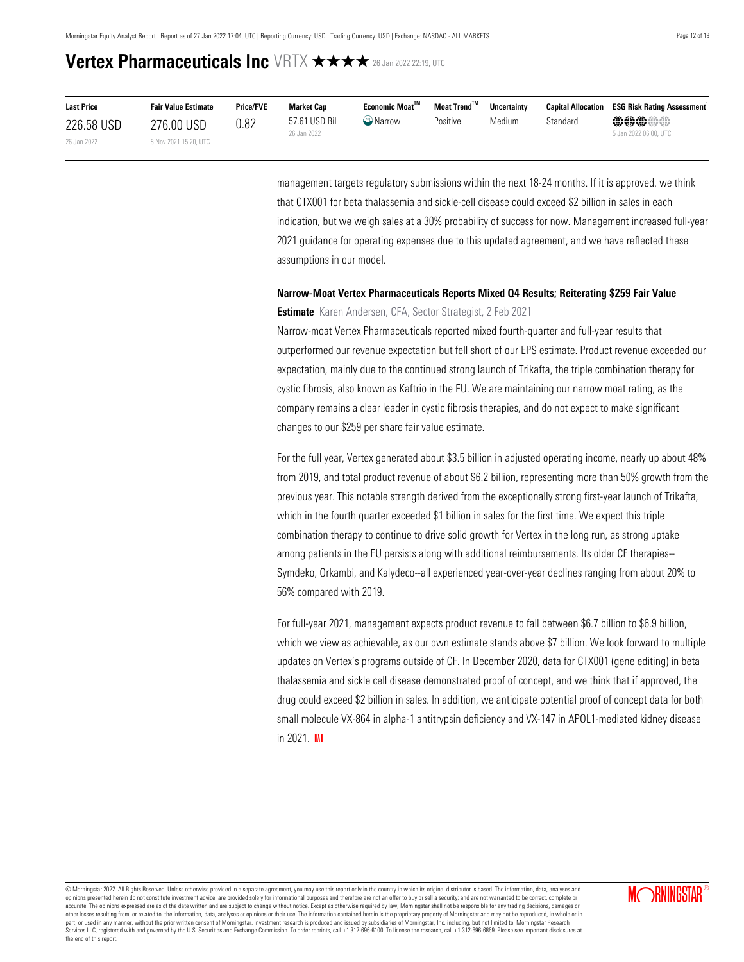| <b>Last Price</b> | <b>Fair Value Estimate</b> | <b>Price/FVE</b> | Market Cap                   | Economic Moat <sup>™</sup> | Moat Trend™ | <b>Uncertainty</b> |          | <b>Capital Allocation ESG Risk Rating Assessment</b> |
|-------------------|----------------------------|------------------|------------------------------|----------------------------|-------------|--------------------|----------|------------------------------------------------------|
| 226.58 USD        | 276.00 USD                 | 0.82             | 57.61 USD Bil<br>26 Jan 2022 | <b>W</b> Narrow            | Positive    | Medium             | Standard | <b>@@@@@</b><br>5 Jan 2022 06:00. UTC                |
| 26 Jan 2022       | 8 Nov 2021 15:20, UTC      |                  |                              |                            |             |                    |          |                                                      |

management targets regulatory submissions within the next 18-24 months. If it is approved, we think that CTX001 for beta thalassemia and sickle-cell disease could exceed \$2 billion in sales in each indication, but we weigh sales at a 30% probability of success for now. Management increased full-year 2021 guidance for operating expenses due to this updated agreement, and we have reflected these assumptions in our model.

### **Narrow-Moat Vertex Pharmaceuticals Reports Mixed Q4 Results; Reiterating \$259 Fair Value**

#### **Estimate** Karen Andersen, CFA, Sector Strategist, 2 Feb 2021

Narrow-moat Vertex Pharmaceuticals reported mixed fourth-quarter and full-year results that outperformed our revenue expectation but fell short of our EPS estimate. Product revenue exceeded our expectation, mainly due to the continued strong launch of Trikafta, the triple combination therapy for cystic fibrosis, also known as Kaftrio in the EU. We are maintaining our narrow moat rating, as the company remains a clear leader in cystic fibrosis therapies, and do not expect to make significant changes to our \$259 per share fair value estimate.

For the full year, Vertex generated about \$3.5 billion in adjusted operating income, nearly up about 48% from 2019, and total product revenue of about \$6.2 billion, representing more than 50% growth from the previous year. This notable strength derived from the exceptionally strong first-year launch of Trikafta, which in the fourth quarter exceeded \$1 billion in sales for the first time. We expect this triple combination therapy to continue to drive solid growth for Vertex in the long run, as strong uptake among patients in the EU persists along with additional reimbursements. Its older CF therapies-- Symdeko, Orkambi, and Kalydeco--all experienced year-over-year declines ranging from about 20% to 56% compared with 2019.

For full-year 2021, management expects product revenue to fall between \$6.7 billion to \$6.9 billion, which we view as achievable, as our own estimate stands above \$7 billion. We look forward to multiple updates on Vertex's programs outside of CF. In December 2020, data for CTX001 (gene editing) in beta thalassemia and sickle cell disease demonstrated proof of concept, and we think that if approved, the drug could exceed \$2 billion in sales. In addition, we anticipate potential proof of concept data for both small molecule VX-864 in alpha-1 antitrypsin deficiency and VX-147 in APOL1-mediated kidney disease in  $2021$  M

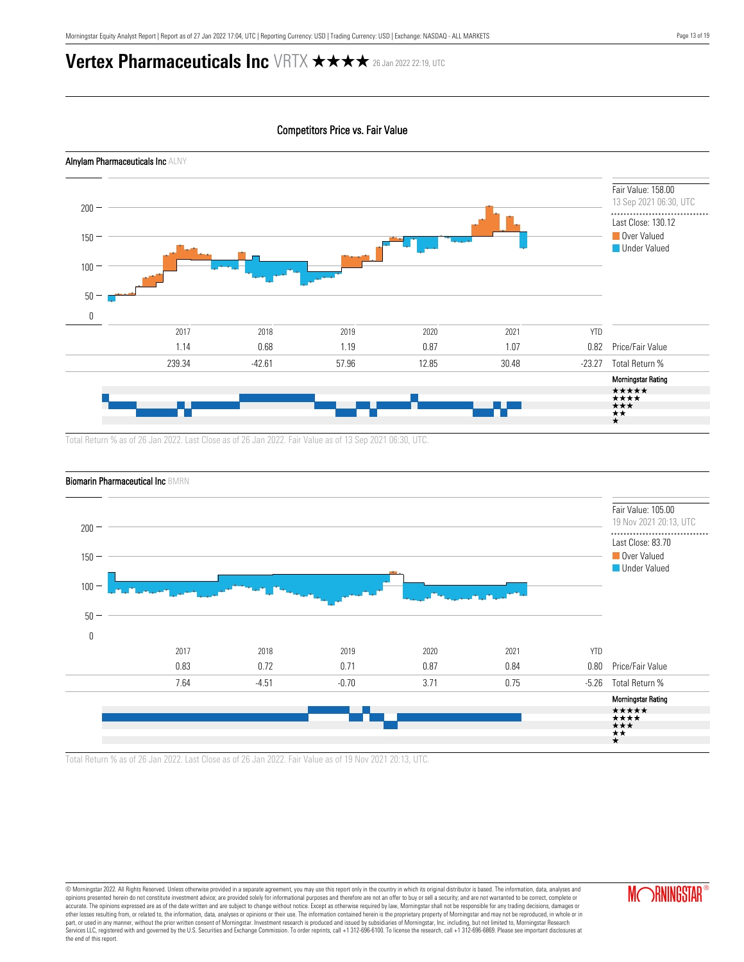



Total Return % as of 26 Jan 2022. Last Close as of 26 Jan 2022. Fair Value as of 19 Nov 2021 20:13, UTC.

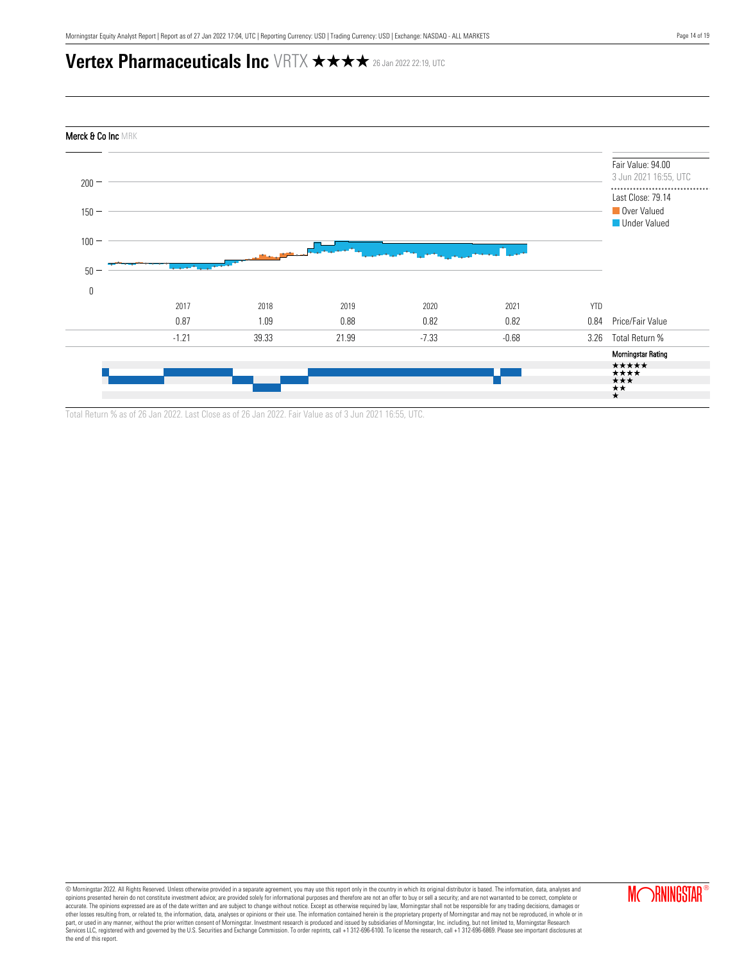

Total Return % as of 26 Jan 2022. Last Close as of 26 Jan 2022. Fair Value as of 3 Jun 2021 16:55, UTC.

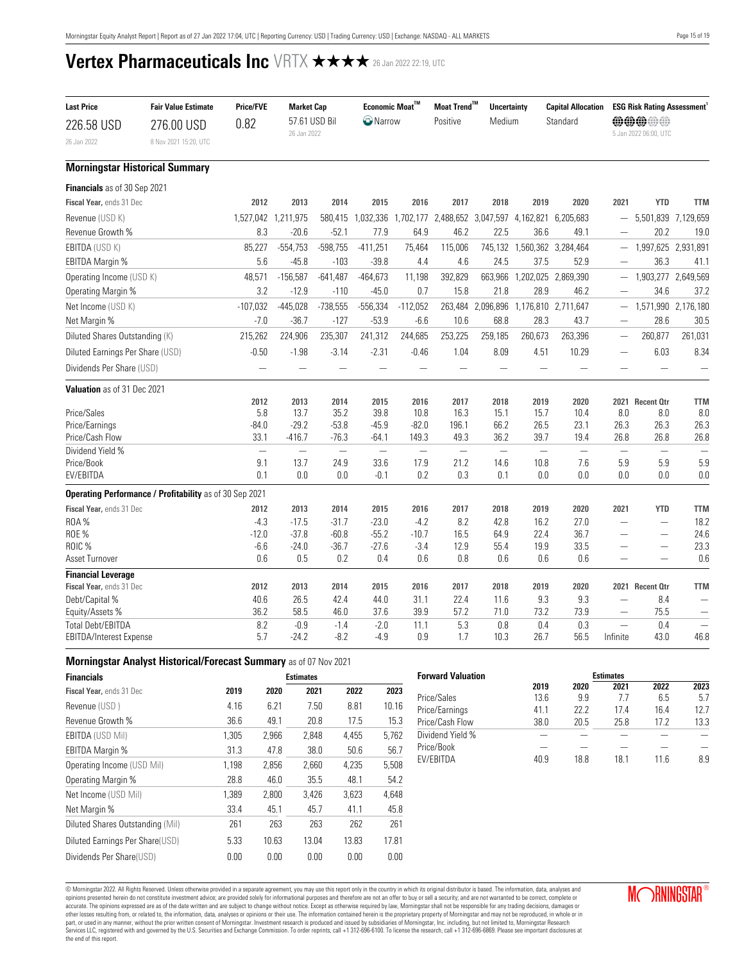<span id="page-14-0"></span>

| <b>Last Price</b>                                     | <b>Fair Value Estimate</b>                              | <b>Price/FVE</b> | <b>Market Cap</b>        |                    |                     | Economic Moat™           | Moat Trend <sup>™</sup> | <b>Uncertainty</b>       |                          | <b>Capital Allocation</b> |                          | <b>ESG Risk Rating Assessment</b> |                          |
|-------------------------------------------------------|---------------------------------------------------------|------------------|--------------------------|--------------------|---------------------|--------------------------|-------------------------|--------------------------|--------------------------|---------------------------|--------------------------|-----------------------------------|--------------------------|
| 226.58 USD                                            | 276.00 USD                                              | 0.82             |                          | 57.61 USD Bil      | <sup>1</sup> Narrow |                          | Positive<br>Medium      |                          |                          | Standard                  |                          | <b>@@@@@</b>                      |                          |
| 26 Jan 2022                                           | 8 Nov 2021 15:20, UTC                                   |                  | 26 Jan 2022              |                    |                     |                          |                         |                          |                          |                           |                          | 5 Jan 2022 06:00, UTC             |                          |
|                                                       | <b>Morningstar Historical Summary</b>                   |                  |                          |                    |                     |                          |                         |                          |                          |                           |                          |                                   |                          |
| Financials as of 30 Sep 2021                          |                                                         |                  |                          |                    |                     |                          |                         |                          |                          |                           |                          |                                   |                          |
| Fiscal Year, ends 31 Dec                              |                                                         | 2012             | 2013                     | 2014               | 2015                | 2016                     | 2017                    | 2018                     | 2019                     | 2020                      | 2021                     | <b>YTD</b>                        | <b>TTM</b>               |
| Revenue (USD K)                                       |                                                         | 1,527,042        | 1,211,975                | 580,415            | 1,032,336           | 1,702,177                | 2,488,652               |                          | 3,047,597 4,162,821      | 6,205,683                 | $\overline{\phantom{m}}$ | 5,501,839                         | 7,129,659                |
| Revenue Growth %                                      |                                                         | 8.3              | $-20.6$                  | $-52.1$            | 77.9                | 64.9                     | 46.2                    | 22.5                     | 36.6                     | 49.1                      | $\overline{\phantom{0}}$ | 20.2                              | 19.0                     |
| EBITDA (USD K)                                        |                                                         | 85,227           | $-554,753$               | $-598,755$         | $-411,251$          | 75,464                   | 115,006                 |                          | 745,132 1,560,362        | 3,284,464                 |                          | 1,997,625                         | 2,931,891                |
| <b>EBITDA Margin %</b>                                |                                                         | 5.6              | $-45.8$                  | $-103$             | $-39.8$             | 4.4                      | 4.6                     | 24.5                     | 37.5                     | 52.9                      |                          | 36.3                              | 41.1                     |
| Operating Income (USD K)                              |                                                         | 48,571           | $-156,587$               | $-641,487$         | $-464,673$          | 11,198                   | 392,829                 | 663,966                  | 1,202,025                | 2,869,390                 |                          | 1,903,277                         | 2,649,569                |
| Operating Margin %                                    |                                                         | 3.2              | $-12.9$                  | $-110$             | $-45.0$             | 0.7                      | 15.8                    | 21.8                     | 28.9                     | 46.2                      |                          | 34.6                              | 37.2                     |
| Net Income (USD K)                                    |                                                         | $-107,032$       | $-445,028$               | $-738,555$         | $-556,334$          | $-112,052$               | 263,484                 |                          | 2,096,896 1,176,810      | 2,711,647                 | $\overline{\phantom{0}}$ | 1,571,990                         | 2,176,180                |
| Net Margin %                                          |                                                         | $-7.0$           | $-36.7$                  | $-127$             | $-53.9$             | $-6.6$                   | 10.6                    | 68.8                     | 28.3                     | 43.7                      | $\overline{\phantom{m}}$ | 28.6                              | 30.5                     |
| Diluted Shares Outstanding (K)                        |                                                         | 215,262          | 224,906                  | 235,307            | 241,312             | 244,685                  | 253,225                 | 259,185                  | 260,673                  | 263,396                   |                          | 260,877                           | 261,031                  |
| Diluted Earnings Per Share (USD)                      |                                                         | $-0.50$          | $-1.98$                  | $-3.14$            | $-2.31$             | $-0.46$                  | 1.04                    | 8.09                     | 4.51                     | 10.29                     |                          | 6.03                              | 8.34                     |
| Dividends Per Share (USD)                             |                                                         |                  |                          |                    |                     |                          |                         |                          | $\overline{\phantom{0}}$ |                           |                          | $\overline{\phantom{0}}$          |                          |
| Valuation as of 31 Dec 2021                           |                                                         |                  |                          |                    |                     |                          |                         |                          |                          |                           |                          |                                   |                          |
|                                                       |                                                         | 2012             | 2013                     | 2014               | 2015                | 2016                     | 2017                    | 2018                     | 2019                     | 2020                      |                          | 2021 Recent Otr                   | <b>TTM</b>               |
| Price/Sales                                           |                                                         | 5.8              | 13.7<br>$-29.2$          | 35.2               | 39.8                | 10.8                     | 16.3                    | 15.1                     | 15.7                     | 10.4                      | 8.0                      | 8.0                               | 8.0                      |
| Price/Earnings<br>Price/Cash Flow                     |                                                         | $-84.0$<br>33.1  | $-416.7$                 | $-53.8$<br>$-76.3$ | $-45.9$<br>$-64.1$  | $-82.0$<br>149.3         | 196.1<br>49.3           | 66.2<br>36.2             | 26.5<br>39.7             | 23.1<br>19.4              | 26.3<br>26.8             | 26.3<br>26.8                      | 26.3<br>26.8             |
| Dividend Yield %                                      |                                                         |                  | $\overline{\phantom{0}}$ | $\equiv$           | $\frac{1}{2}$       | $\overline{\phantom{0}}$ | $\qquad \qquad -$       | $\overline{\phantom{0}}$ | $\overline{\phantom{0}}$ | $\overline{\phantom{0}}$  | $\overline{\phantom{0}}$ | $\qquad \qquad$                   | $\overline{\phantom{0}}$ |
| Price/Book                                            |                                                         | 9.1              | 13.7                     | 24.9               | 33.6                | 17.9                     | 21.2                    | 14.6                     | 10.8                     | 7.6                       | 5.9                      | 5.9                               | 5.9                      |
| EV/EBITDA                                             |                                                         | 0.1              | 0.0                      | 0.0                | $-0.1$              | 0.2                      | 0.3                     | 0.1                      | 0.0                      | 0.0                       | 0.0                      | 0.0                               | $0.0\,$                  |
|                                                       | Operating Performance / Profitability as of 30 Sep 2021 |                  |                          |                    |                     |                          |                         |                          |                          |                           |                          |                                   |                          |
| Fiscal Year, ends 31 Dec                              |                                                         | 2012             | 2013                     | 2014               | 2015                | 2016                     | 2017                    | 2018                     | 2019                     | 2020                      | 2021                     | <b>YTD</b>                        | <b>TTM</b>               |
| <b>ROA%</b>                                           |                                                         | $-4.3$           | $-17.5$                  | $-31.7$            | $-23.0$             | $-4.2$                   | 8.2                     | 42.8                     | 16.2                     | 27.0                      |                          | $\qquad \qquad -$                 | 18.2                     |
| ROE %                                                 |                                                         | $-12.0$          | $-37.8$                  | $-60.8$            | $-55.2$             | $-10.7$                  | 16.5                    | 64.9                     | 22.4                     | 36.7                      |                          |                                   | 24.6                     |
| ROIC %                                                |                                                         | $-6.6$           | $-24.0$                  | $-36.7$            | $-27.6$             | $-3.4$                   | 12.9                    | 55.4                     | 19.9                     | 33.5                      |                          | $\overline{\phantom{0}}$          | 23.3                     |
| Asset Turnover                                        |                                                         | 0.6              | 0.5                      | 0.2                | 0.4                 | 0.6                      | 0.8                     | 0.6                      | 0.6                      | 0.6                       |                          |                                   | 0.6                      |
| <b>Financial Leverage</b><br>Fiscal Year, ends 31 Dec |                                                         | 2012             | 2013                     | 2014               | 2015                | 2016                     | 2017                    | 2018                     | 2019                     | 2020                      |                          | 2021 Recent Otr                   | <b>TTM</b>               |
| Debt/Capital %                                        |                                                         | 40.6             | 26.5                     | 42.4               | 44.0                | 31.1                     | 22.4                    | 11.6                     | 9.3                      | 9.3                       |                          | 8.4                               | $\overline{\phantom{0}}$ |
| Equity/Assets %                                       |                                                         | 36.2             | 58.5                     | 46.0               | 37.6                | 39.9                     | 57.2                    | 71.0                     | 73.2                     | 73.9                      | $\overline{\phantom{a}}$ | 75.5                              |                          |
| <b>Total Debt/EBITDA</b>                              |                                                         | 8.2              | $-0.9$                   | $-1.4$             | $-2.0$              | 11.1                     | 5.3                     | 0.8                      | 0.4                      | 0.3                       | $\overline{\phantom{0}}$ | 0.4                               |                          |
| EBITDA/Interest Expense                               |                                                         | 5.7              | $-24.2$                  | $-8.2$             | $-4.9$              | 0.9                      | 1.7                     | 10.3                     | 26.7                     | 56.5                      | Infinite                 | 43.0                              | 46.8                     |
|                                                       |                                                         |                  |                          |                    |                     |                          |                         |                          |                          |                           |                          |                                   |                          |

| Morningstar Analyst Historical/Forecast Summary as of 07 Nov 2021 |
|-------------------------------------------------------------------|
|-------------------------------------------------------------------|

| <b>Financials</b>                |       |       | <b>Estimates</b> |       |       |  |  |
|----------------------------------|-------|-------|------------------|-------|-------|--|--|
| Fiscal Year, ends 31 Dec         | 2019  | 2020  | 2021             | 2022  | 2023  |  |  |
| Revenue (USD)                    | 4.16  | 6.21  | 7.50             | 8.81  | 10.16 |  |  |
| Revenue Growth %                 | 36.6  | 49.1  | 20.8             | 17.5  | 15.3  |  |  |
| <b>EBITDA (USD Mil)</b>          | 1,305 | 2,966 | 2.848            | 4.455 | 5,762 |  |  |
| EBITDA Margin %                  | 31.3  | 47.8  | 38.0             | 50.6  | 56.7  |  |  |
| Operating Income (USD Mil)       | 1.198 | 2,856 | 2.660            | 4.235 | 5,508 |  |  |
| Operating Margin %               | 28.8  | 46.0  | 35.5             | 48.1  | 54.2  |  |  |
| Net Income (USD Mil)             | 1.389 | 2.800 | 3.426            | 3.623 | 4,648 |  |  |
| Net Margin %                     | 33.4  | 45.1  | 45.7             | 41.1  | 45.8  |  |  |
| Diluted Shares Outstanding (Mil) | 261   | 263   | 263              | 262   | 261   |  |  |
| Diluted Earnings Per Share(USD)  | 5.33  | 10.63 | 13.04            | 13.83 | 17.81 |  |  |
| Dividends Per Share(USD)         | 0.00  | 0.00  | 0.00             | 0.00  | 0.00  |  |  |

| <b>Estimates</b> |      |      |                 |      |  |  |
|------------------|------|------|-----------------|------|--|--|
| 2019             | 2020 | 2021 | 2022            | 2023 |  |  |
| 13.6             | 9.9  | 77   | 6.5             | 5.7  |  |  |
| 411              | 22 Z | 174  | 164             | 127  |  |  |
| 38.0             | 20.5 | 25.8 | 17 <sub>2</sub> | 13.3 |  |  |
|                  |      |      |                 |      |  |  |
|                  |      |      |                 |      |  |  |
| 4N 9             | 18 R | 18 1 | 11 6            | 8.9  |  |  |
|                  |      |      |                 |      |  |  |

© Morningstar 2022. All Rights Reserved. Unless otherwise provided in a separate agreement, you may use this report only in the country in which its original distributor is based. The information, data, analyses and<br>opinio accurate. The opinions expressed are as of the date written and are subject to change without notice. Except as otherwise required by law, Morningstar shall not be responsible for any trading decisions, damages or<br>other lo the end of this report.

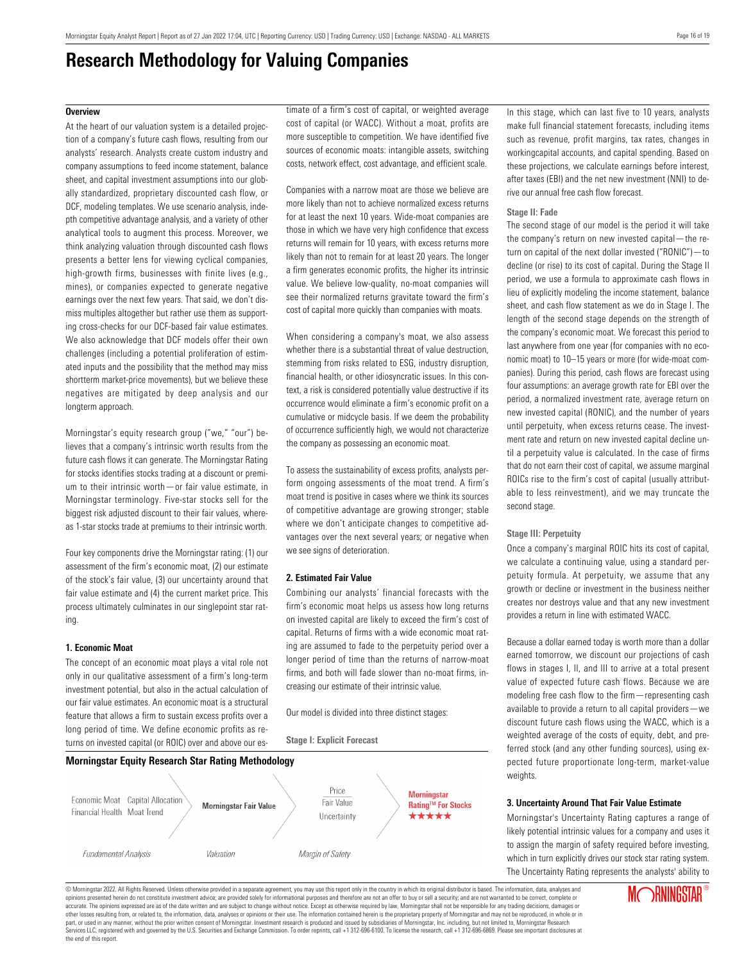### **Research Methodology for Valuing Companies**

#### <span id="page-15-0"></span>**Overview**

At the heart of our valuation system is a detailed projection of a company's future cash flows, resulting from our analysts' research. Analysts create custom industry and company assumptions to feed income statement, balance sheet, and capital investment assumptions into our globally standardized, proprietary discounted cash flow, or DCF, modeling templates. We use scenario analysis, indepth competitive advantage analysis, and a variety of other analytical tools to augment this process. Moreover, we think analyzing valuation through discounted cash flows presents a better lens for viewing cyclical companies, high-growth firms, businesses with finite lives (e.g., mines), or companies expected to generate negative earnings over the next few years. That said, we don't dismiss multiples altogether but rather use them as supporting cross-checks for our DCF-based fair value estimates. We also acknowledge that DCF models offer their own challenges (including a potential proliferation of estimated inputs and the possibility that the method may miss shortterm market-price movements), but we believe these negatives are mitigated by deep analysis and our longterm approach.

Morningstar's equity research group ("we," "our") believes that a company's intrinsic worth results from the future cash flows it can generate. The Morningstar Rating for stocks identifies stocks trading at a discount or premium to their intrinsic worth—or fair value estimate, in Morningstar terminology. Five-star stocks sell for the biggest risk adjusted discount to their fair values, whereas 1-star stocks trade at premiums to their intrinsic worth.

Four key components drive the Morningstar rating: (1) our assessment of the firm's economic moat, (2) our estimate of the stock's fair value, (3) our uncertainty around that fair value estimate and (4) the current market price. This process ultimately culminates in our singlepoint star rating.

#### **1. Economic Moat**

The concept of an economic moat plays a vital role not only in our qualitative assessment of a firm's long-term investment potential, but also in the actual calculation of our fair value estimates. An economic moat is a structural feature that allows a firm to sustain excess profits over a long period of time. We define economic profits as returns on invested capital (or ROIC) over and above our estimate of a firm's cost of capital, or weighted average cost of capital (or WACC). Without a moat, profits are more susceptible to competition. We have identified five sources of economic moats: intangible assets, switching costs, network effect, cost advantage, and efficient scale.

Companies with a narrow moat are those we believe are more likely than not to achieve normalized excess returns for at least the next 10 years. Wide-moat companies are those in which we have very high confidence that excess returns will remain for 10 years, with excess returns more likely than not to remain for at least 20 years. The longer a firm generates economic profits, the higher its intrinsic value. We believe low-quality, no-moat companies will see their normalized returns gravitate toward the firm's cost of capital more quickly than companies with moats.

When considering a company's moat, we also assess whether there is a substantial threat of value destruction, stemming from risks related to ESG, industry disruption, financial health, or other idiosyncratic issues. In this context, a risk is considered potentially value destructive if its occurrence would eliminate a firm's economic profit on a cumulative or midcycle basis. If we deem the probability of occurrence sufficiently high, we would not characterize the company as possessing an economic moat.

To assess the sustainability of excess profits, analysts perform ongoing assessments of the moat trend. A firm's moat trend is positive in cases where we think its sources of competitive advantage are growing stronger; stable where we don't anticipate changes to competitive advantages over the next several years; or negative when we see signs of deterioration.

#### **2. Estimated Fair Value**

**Stage I: Explicit Forecast**

Combining our analysts' financial forecasts with the firm's economic moat helps us assess how long returns on invested capital are likely to exceed the firm's cost of capital. Returns of firms with a wide economic moat rating are assumed to fade to the perpetuity period over a longer period of time than the returns of narrow-moat firms, and both will fade slower than no-moat firms, increasing our estimate of their intrinsic value.

Our model is divided into three distinct stages:



In this stage, which can last five to 10 years, analysts make full financial statement forecasts, including items such as revenue, profit margins, tax rates, changes in workingcapital accounts, and capital spending. Based on these projections, we calculate earnings before interest, after taxes (EBI) and the net new investment (NNI) to derive our annual free cash flow forecast.

#### **Stage II: Fade**

The second stage of our model is the period it will take the company's return on new invested capital—the return on capital of the next dollar invested ("RONIC")—to decline (or rise) to its cost of capital. During the Stage II period, we use a formula to approximate cash flows in lieu of explicitly modeling the income statement, balance sheet, and cash flow statement as we do in Stage I. The length of the second stage depends on the strength of the company's economic moat. We forecast this period to last anywhere from one year (for companies with no economic moat) to 10–15 years or more (for wide-moat companies). During this period, cash flows are forecast using four assumptions: an average growth rate for EBI over the period, a normalized investment rate, average return on new invested capital (RONIC), and the number of years until perpetuity, when excess returns cease. The investment rate and return on new invested capital decline until a perpetuity value is calculated. In the case of firms that do not earn their cost of capital, we assume marginal ROICs rise to the firm's cost of capital (usually attributable to less reinvestment), and we may truncate the second stage.

#### **Stage III: Perpetuity**

Once a company's marginal ROIC hits its cost of capital, we calculate a continuing value, using a standard perpetuity formula. At perpetuity, we assume that any growth or decline or investment in the business neither creates nor destroys value and that any new investment provides a return in line with estimated WACC.

Because a dollar earned today is worth more than a dollar earned tomorrow, we discount our projections of cash flows in stages I, II, and III to arrive at a total present value of expected future cash flows. Because we are modeling free cash flow to the firm—representing cash available to provide a return to all capital providers—we discount future cash flows using the WACC, which is a weighted average of the costs of equity, debt, and preferred stock (and any other funding sources), using expected future proportionate long-term, market-value weights.

#### **3. Uncertainty Around That Fair Value Estimate**

Morningstar's Uncertainty Rating captures a range of likely potential intrinsic values for a company and uses it to assign the margin of safety required before investing, which in turn explicitly drives our stock star rating system. The Uncertainty Rating represents the analysts' ability to

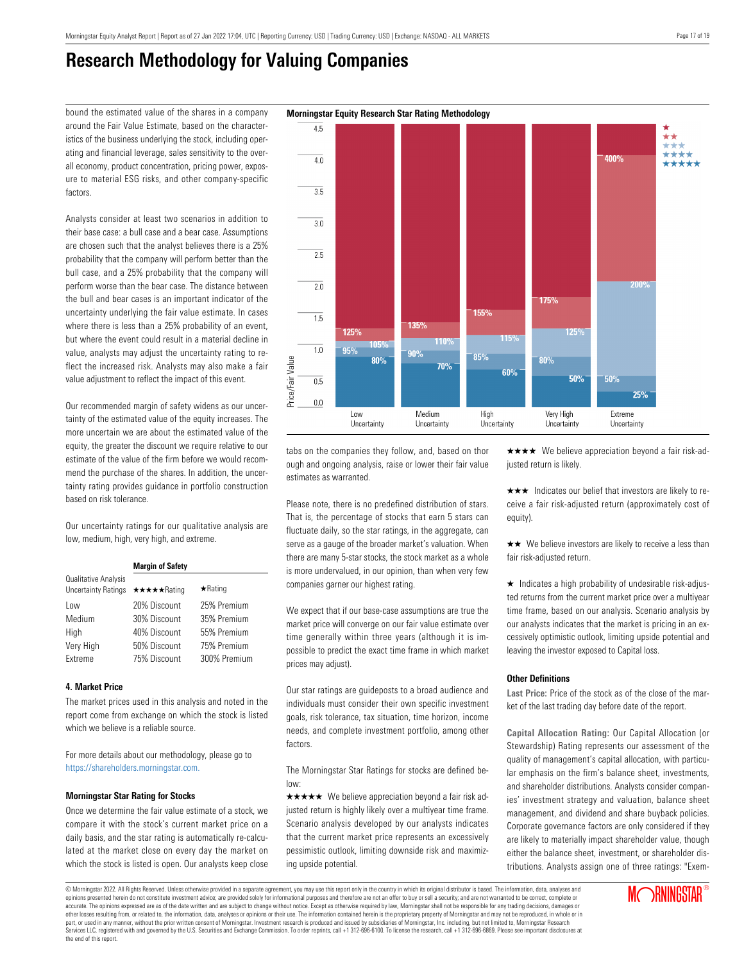$4.5$ 

### **Research Methodology for Valuing Companies**

bound the estimated value of the shares in a company **Morningstar Equity Research Star Rating Methodology** around the Fair Value Estimate, based on the characteristics of the business underlying the stock, including operating and financial leverage, sales sensitivity to the overall economy, product concentration, pricing power, exposure to material ESG risks, and other company-specific factors.

Analysts consider at least two scenarios in addition to their base case: a bull case and a bear case. Assumptions are chosen such that the analyst believes there is a 25% probability that the company will perform better than the bull case, and a 25% probability that the company will perform worse than the bear case. The distance between the bull and bear cases is an important indicator of the uncertainty underlying the fair value estimate. In cases where there is less than a 25% probability of an event, but where the event could result in a material decline in value, analysts may adjust the uncertainty rating to reflect the increased risk. Analysts may also make a fair value adjustment to reflect the impact of this event.

Our recommended margin of safety widens as our uncertainty of the estimated value of the equity increases. The more uncertain we are about the estimated value of the equity, the greater the discount we require relative to our estimate of the value of the firm before we would recommend the purchase of the shares. In addition, the uncertainty rating provides guidance in portfolio construction based on risk tolerance.

Our uncertainty ratings for our qualitative analysis are low, medium, high, very high, and extreme.

|                                                    | <b>Margin of Safety</b> |                |  |  |  |  |
|----------------------------------------------------|-------------------------|----------------|--|--|--|--|
| Qualitative Analysis<br><b>Uncertainty Ratings</b> | ★★★★★Rating             | $\star$ Rating |  |  |  |  |
| Low                                                | 20% Discount            | 25% Premium    |  |  |  |  |
| Medium                                             | 30% Discount            | 35% Premium    |  |  |  |  |
| High                                               | 40% Discount            | 55% Premium    |  |  |  |  |
| Very High                                          | 50% Discount            | 75% Premium    |  |  |  |  |
| <b>Fxtreme</b>                                     | 75% Discount            | 300% Premium   |  |  |  |  |

#### **4. Market Price**

The market prices used in this analysis and noted in the report come from exchange on which the stock is listed which we believe is a reliable source.

For more details about our methodology, please go to <https://shareholders.morningstar.com.>

#### **Morningstar Star Rating for Stocks**

Once we determine the fair value estimate of a stock, we compare it with the stock's current market price on a daily basis, and the star rating is automatically re-calculated at the market close on every day the market on which the stock is listed is open. Our analysts keep close

tabs on the companies they follow, and, based on thor ough and ongoing analysis, raise or lower their fair value estimates as warranted.

Please note, there is no predefined distribution of stars. That is, the percentage of stocks that earn 5 stars can fluctuate daily, so the star ratings, in the aggregate, can serve as a gauge of the broader market's valuation. When there are many 5-star stocks, the stock market as a whole is more undervalued, in our opinion, than when very few companies garner our highest rating.

We expect that if our base-case assumptions are true the market price will converge on our fair value estimate over time generally within three years (although it is impossible to predict the exact time frame in which market prices may adjust).

Our star ratings are guideposts to a broad audience and individuals must consider their own specific investment goals, risk tolerance, tax situation, time horizon, income needs, and complete investment portfolio, among other factors.

The Morningstar Star Ratings for stocks are defined below:

 $\star \star \star \star$  We believe appreciation beyond a fair risk adjusted return is highly likely over a multiyear time frame. Scenario analysis developed by our analysts indicates that the current market price represents an excessively pessimistic outlook, limiting downside risk and maximizing upside potential.

 $\star \star \star \star$  We believe appreciation beyond a fair risk-adjusted return is likely.

 $\star \star \star$  Indicates our belief that investors are likely to receive a fair risk-adjusted return (approximately cost of equity).

 $\star\star$  We believe investors are likely to receive a less than fair risk-adjusted return.

 $\star$  Indicates a high probability of undesirable risk-adjusted returns from the current market price over a multiyear time frame, based on our analysis. Scenario analysis by our analysts indicates that the market is pricing in an excessively optimistic outlook, limiting upside potential and leaving the investor exposed to Capital loss.

#### **Other Definitions**

**Last Price:** Price of the stock as of the close of the market of the last trading day before date of the report.

**Capital Allocation Rating:** Our Capital Allocation (or Stewardship) Rating represents our assessment of the quality of management's capital allocation, with particular emphasis on the firm's balance sheet, investments, and shareholder distributions. Analysts consider companies' investment strategy and valuation, balance sheet management, and dividend and share buyback policies. Corporate governance factors are only considered if they are likely to materially impact shareholder value, though either the balance sheet, investment, or shareholder distributions. Analysts assign one of three ratings: "Exem-

**Annoy**  $\overline{40}$  $\overline{35}$  $3.0$  $\overline{2.5}$  $\overline{2.0}$ 175% 155%  $\overline{1.5}$ 135% 125% 1250 115% **110%**  $1.0$ 95%  $90%$ 85% Price/Fair Value  $80%$ 80% 70% 60% 50% 50%  $\overline{0.5}$ 25%  $0.0$ Low Medium High Very High Extreme Uncertainty Uncertainty Uncertainty Uncertainty Uncertainty

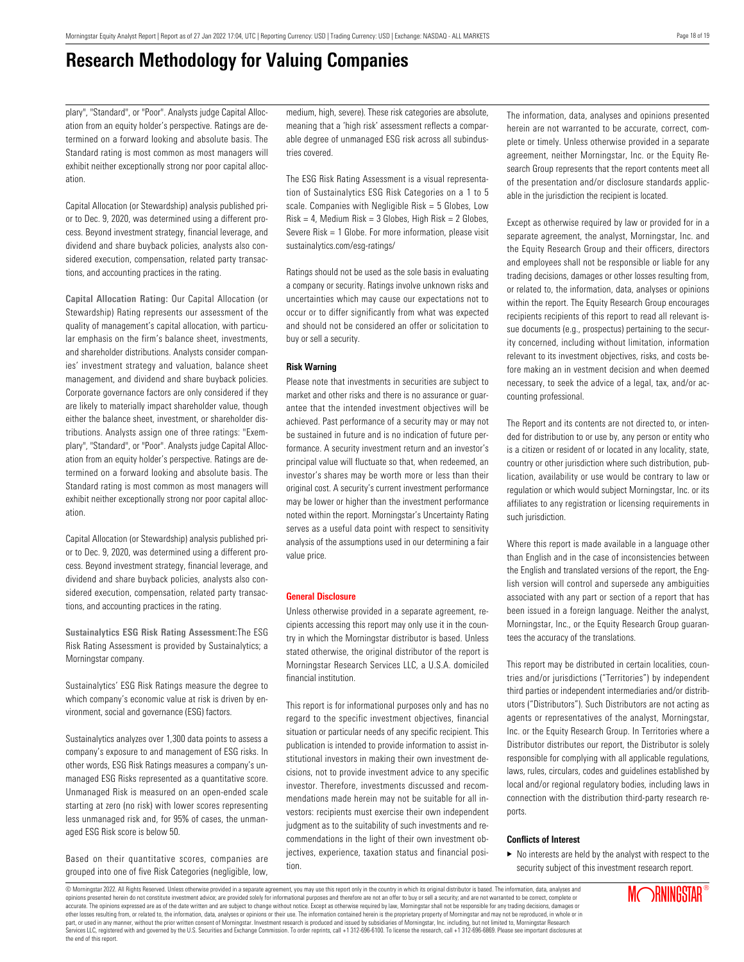### **Research Methodology for Valuing Companies**

plary", "Standard", or "Poor". Analysts judge Capital Allocation from an equity holder's perspective. Ratings are determined on a forward looking and absolute basis. The Standard rating is most common as most managers will exhibit neither exceptionally strong nor poor capital allocation.

Capital Allocation (or Stewardship) analysis published prior to Dec. 9, 2020, was determined using a different process. Beyond investment strategy, financial leverage, and dividend and share buyback policies, analysts also considered execution, compensation, related party transactions, and accounting practices in the rating.

**Capital Allocation Rating:** Our Capital Allocation (or Stewardship) Rating represents our assessment of the quality of management's capital allocation, with particular emphasis on the firm's balance sheet, investments, and shareholder distributions. Analysts consider companies' investment strategy and valuation, balance sheet management, and dividend and share buyback policies. Corporate governance factors are only considered if they are likely to materially impact shareholder value, though either the balance sheet, investment, or shareholder distributions. Analysts assign one of three ratings: "Exemplary", "Standard", or "Poor". Analysts judge Capital Allocation from an equity holder's perspective. Ratings are determined on a forward looking and absolute basis. The Standard rating is most common as most managers will exhibit neither exceptionally strong nor poor capital allocation.

Capital Allocation (or Stewardship) analysis published prior to Dec. 9, 2020, was determined using a different process. Beyond investment strategy, financial leverage, and dividend and share buyback policies, analysts also considered execution, compensation, related party transactions, and accounting practices in the rating.

**Sustainalytics ESG Risk Rating Assessment:**The ESG Risk Rating Assessment is provided by Sustainalytics; a Morningstar company.

Sustainalytics' ESG Risk Ratings measure the degree to which company's economic value at risk is driven by environment, social and governance (ESG) factors.

Sustainalytics analyzes over 1,300 data points to assess a company's exposure to and management of ESG risks. In other words, ESG Risk Ratings measures a company's unmanaged ESG Risks represented as a quantitative score. Unmanaged Risk is measured on an open-ended scale starting at zero (no risk) with lower scores representing less unmanaged risk and, for 95% of cases, the unmanaged ESG Risk score is below 50.

Based on their quantitative scores, companies are grouped into one of five Risk Categories (negligible, low, medium, high, severe). These risk categories are absolute, meaning that a 'high risk' assessment reflects a comparable degree of unmanaged ESG risk across all subindustries covered.

The ESG Risk Rating Assessment is a visual representation of Sustainalytics ESG Risk Categories on a 1 to 5 scale. Companies with Negligible Risk = 5 Globes, Low  $Risk = 4$ , Medium Risk = 3 Globes, High Risk = 2 Globes, Severe Risk = 1 Globe. For more information, please visit sustainalytics.com/esg-ratings/

Ratings should not be used as the sole basis in evaluating a company or security. Ratings involve unknown risks and uncertainties which may cause our expectations not to occur or to differ significantly from what was expected and should not be considered an offer or solicitation to buy or sell a security.

#### **Risk Warning**

Please note that investments in securities are subject to market and other risks and there is no assurance or guarantee that the intended investment objectives will be achieved. Past performance of a security may or may not be sustained in future and is no indication of future performance. A security investment return and an investor's principal value will fluctuate so that, when redeemed, an investor's shares may be worth more or less than their original cost. A security's current investment performance may be lower or higher than the investment performance noted within the report. Morningstar's Uncertainty Rating serves as a useful data point with respect to sensitivity analysis of the assumptions used in our determining a fair value price.

#### **General Disclosure**

Unless otherwise provided in a separate agreement, recipients accessing this report may only use it in the country in which the Morningstar distributor is based. Unless stated otherwise, the original distributor of the report is Morningstar Research Services LLC, a U.S.A. domiciled financial institution.

This report is for informational purposes only and has no regard to the specific investment objectives, financial situation or particular needs of any specific recipient. This publication is intended to provide information to assist institutional investors in making their own investment decisions, not to provide investment advice to any specific investor. Therefore, investments discussed and recommendations made herein may not be suitable for all investors: recipients must exercise their own independent judgment as to the suitability of such investments and recommendations in the light of their own investment objectives, experience, taxation status and financial position.

The information, data, analyses and opinions presented herein are not warranted to be accurate, correct, complete or timely. Unless otherwise provided in a separate agreement, neither Morningstar, Inc. or the Equity Research Group represents that the report contents meet all of the presentation and/or disclosure standards applicable in the jurisdiction the recipient is located.

Except as otherwise required by law or provided for in a separate agreement, the analyst, Morningstar, Inc. and the Equity Research Group and their officers, directors and employees shall not be responsible or liable for any trading decisions, damages or other losses resulting from, or related to, the information, data, analyses or opinions within the report. The Equity Research Group encourages recipients recipients of this report to read all relevant issue documents (e.g., prospectus) pertaining to the security concerned, including without limitation, information relevant to its investment objectives, risks, and costs before making an in vestment decision and when deemed necessary, to seek the advice of a legal, tax, and/or accounting professional.

The Report and its contents are not directed to, or intended for distribution to or use by, any person or entity who is a citizen or resident of or located in any locality, state, country or other jurisdiction where such distribution, publication, availability or use would be contrary to law or regulation or which would subject Morningstar, Inc. or its affiliates to any registration or licensing requirements in such jurisdiction.

Where this report is made available in a language other than English and in the case of inconsistencies between the English and translated versions of the report, the English version will control and supersede any ambiguities associated with any part or section of a report that has been issued in a foreign language. Neither the analyst, Morningstar, Inc., or the Equity Research Group guarantees the accuracy of the translations.

This report may be distributed in certain localities, countries and/or jurisdictions ("Territories") by independent third parties or independent intermediaries and/or distributors ("Distributors"). Such Distributors are not acting as agents or representatives of the analyst, Morningstar, Inc. or the Equity Research Group. In Territories where a Distributor distributes our report, the Distributor is solely responsible for complying with all applicable regulations, laws, rules, circulars, codes and guidelines established by local and/or regional regulatory bodies, including laws in connection with the distribution third-party research reports.

#### **Conflicts of Interest**

 $\blacktriangleright$  No interests are held by the analyst with respect to the security subject of this investment research report.